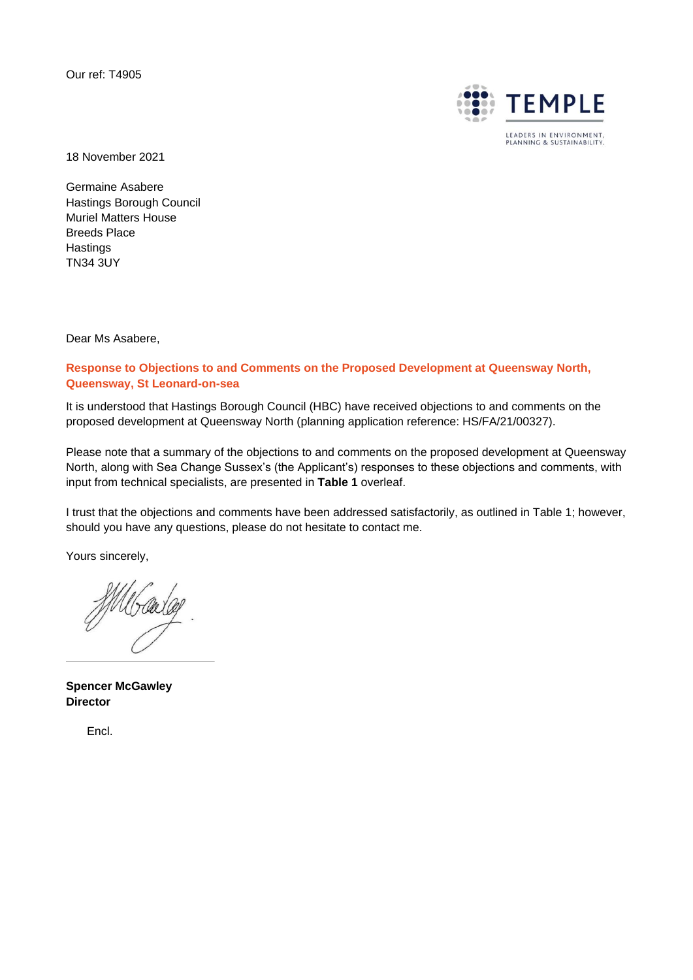Our ref: T4905



18 November 2021

Germaine Asabere Hastings Borough Council Muriel Matters House Breeds Place **Hastings** TN34 3UY

Dear Ms Asabere,

**Response to Objections to and Comments on the Proposed Development at Queensway North, Queensway, St Leonard-on-sea**

It is understood that Hastings Borough Council (HBC) have received objections to and comments on the proposed development at Queensway North (planning application reference: HS/FA/21/00327).

Please note that a summary of the objections to and comments on the proposed development at Queensway North, along with Sea Change Sussex's (the Applicant's) responses to these objections and comments, with input from technical specialists, are presented in **Table 1** overleaf.

I trust that the objections and comments have been addressed satisfactorily, as outlined in Table 1; however, should you have any questions, please do not hesitate to contact me.

Yours sincerely,

MU Carlag

**Spencer McGawley Director**

Encl.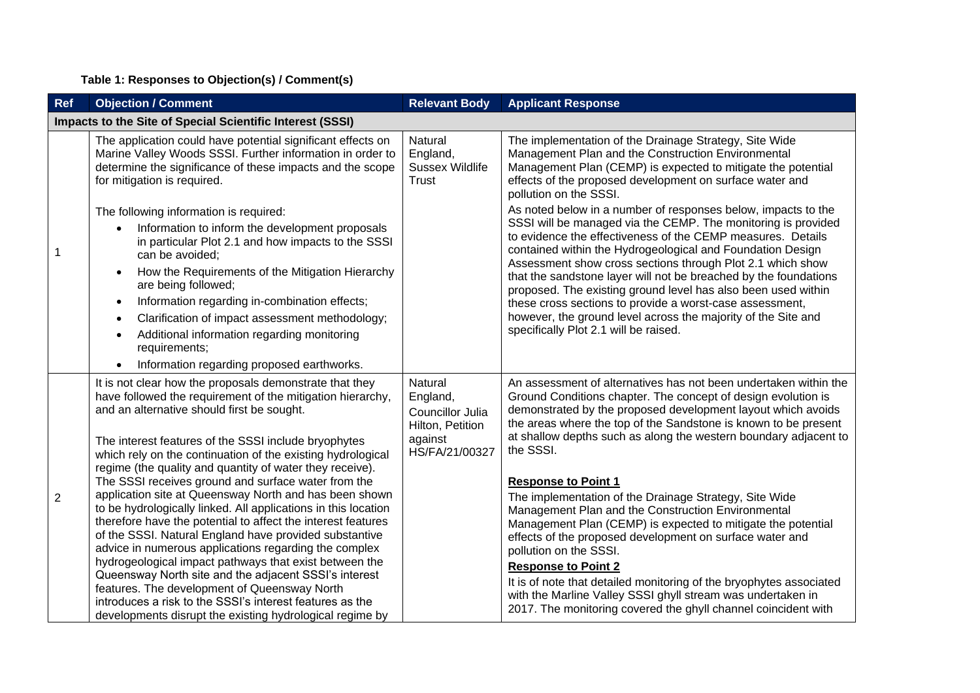## **Table 1: Responses to Objection(s) / Comment(s)**

| <b>Ref</b>                                                | <b>Objection / Comment</b>                                                                                                                                                                                                                                                                                                                                                                                                                                                                                                                                                                             | <b>Relevant Body</b>                                                                     | <b>Applicant Response</b>                                                                                                                                                                                                                                                                                                                                                                                                                                                                                                                                                                                                                                                                                                                                                                        |  |  |
|-----------------------------------------------------------|--------------------------------------------------------------------------------------------------------------------------------------------------------------------------------------------------------------------------------------------------------------------------------------------------------------------------------------------------------------------------------------------------------------------------------------------------------------------------------------------------------------------------------------------------------------------------------------------------------|------------------------------------------------------------------------------------------|--------------------------------------------------------------------------------------------------------------------------------------------------------------------------------------------------------------------------------------------------------------------------------------------------------------------------------------------------------------------------------------------------------------------------------------------------------------------------------------------------------------------------------------------------------------------------------------------------------------------------------------------------------------------------------------------------------------------------------------------------------------------------------------------------|--|--|
| Impacts to the Site of Special Scientific Interest (SSSI) |                                                                                                                                                                                                                                                                                                                                                                                                                                                                                                                                                                                                        |                                                                                          |                                                                                                                                                                                                                                                                                                                                                                                                                                                                                                                                                                                                                                                                                                                                                                                                  |  |  |
|                                                           | The application could have potential significant effects on<br>Marine Valley Woods SSSI. Further information in order to<br>determine the significance of these impacts and the scope<br>for mitigation is required.<br>The following information is required:<br>Information to inform the development proposals<br>in particular Plot 2.1 and how impacts to the SSSI<br>can be avoided;<br>How the Requirements of the Mitigation Hierarchy<br>$\bullet$<br>are being followed;<br>Information regarding in-combination effects;<br>$\bullet$                                                       | Natural<br>England,<br><b>Sussex Wildlife</b><br><b>Trust</b>                            | The implementation of the Drainage Strategy, Site Wide<br>Management Plan and the Construction Environmental<br>Management Plan (CEMP) is expected to mitigate the potential<br>effects of the proposed development on surface water and<br>pollution on the SSSI.<br>As noted below in a number of responses below, impacts to the<br>SSSI will be managed via the CEMP. The monitoring is provided<br>to evidence the effectiveness of the CEMP measures. Details<br>contained within the Hydrogeological and Foundation Design<br>Assessment show cross sections through Plot 2.1 which show<br>that the sandstone layer will not be breached by the foundations<br>proposed. The existing ground level has also been used within<br>these cross sections to provide a worst-case assessment, |  |  |
|                                                           | Clarification of impact assessment methodology;<br>$\bullet$<br>Additional information regarding monitoring<br>requirements;<br>Information regarding proposed earthworks.<br>$\bullet$                                                                                                                                                                                                                                                                                                                                                                                                                |                                                                                          | however, the ground level across the majority of the Site and<br>specifically Plot 2.1 will be raised.                                                                                                                                                                                                                                                                                                                                                                                                                                                                                                                                                                                                                                                                                           |  |  |
|                                                           | It is not clear how the proposals demonstrate that they<br>have followed the requirement of the mitigation hierarchy,<br>and an alternative should first be sought.<br>The interest features of the SSSI include bryophytes<br>which rely on the continuation of the existing hydrological<br>regime (the quality and quantity of water they receive).<br>The SSSI receives ground and surface water from the                                                                                                                                                                                          | Natural<br>England,<br>Councillor Julia<br>Hilton, Petition<br>against<br>HS/FA/21/00327 | An assessment of alternatives has not been undertaken within the<br>Ground Conditions chapter. The concept of design evolution is<br>demonstrated by the proposed development layout which avoids<br>the areas where the top of the Sandstone is known to be present<br>at shallow depths such as along the western boundary adjacent to<br>the SSSI.<br><b>Response to Point 1</b>                                                                                                                                                                                                                                                                                                                                                                                                              |  |  |
| $\overline{2}$                                            | application site at Queensway North and has been shown<br>to be hydrologically linked. All applications in this location<br>therefore have the potential to affect the interest features<br>of the SSSI. Natural England have provided substantive<br>advice in numerous applications regarding the complex<br>hydrogeological impact pathways that exist between the<br>Queensway North site and the adjacent SSSI's interest<br>features. The development of Queensway North<br>introduces a risk to the SSSI's interest features as the<br>developments disrupt the existing hydrological regime by |                                                                                          | The implementation of the Drainage Strategy, Site Wide<br>Management Plan and the Construction Environmental<br>Management Plan (CEMP) is expected to mitigate the potential<br>effects of the proposed development on surface water and<br>pollution on the SSSI.<br><b>Response to Point 2</b><br>It is of note that detailed monitoring of the bryophytes associated<br>with the Marline Valley SSSI ghyll stream was undertaken in<br>2017. The monitoring covered the ghyll channel coincident with                                                                                                                                                                                                                                                                                         |  |  |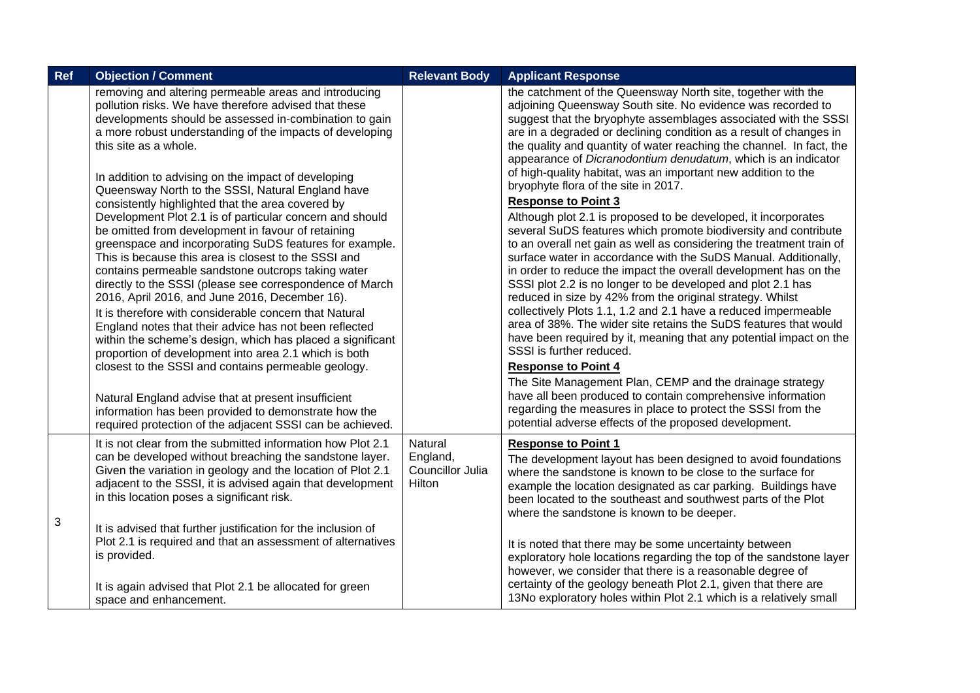| Ref | <b>Objection / Comment</b>                                                                                                                                                                                                                                                                                                                                                                                                                                                                                                                                                                                                                                                                                                                                                                                                                                                                                                                                                                                                                                                                                                                                                                                                                               | <b>Relevant Body</b>                   | <b>Applicant Response</b>                                                                                                                                                                                                                                                                                                                                                                                                                                                                                                                                                                                                                                                                                                                                                                                                                                                                                                                                                                                                                                                                                                                                                                                                                                                                                                                                                                                                                                                                                                                                       |
|-----|----------------------------------------------------------------------------------------------------------------------------------------------------------------------------------------------------------------------------------------------------------------------------------------------------------------------------------------------------------------------------------------------------------------------------------------------------------------------------------------------------------------------------------------------------------------------------------------------------------------------------------------------------------------------------------------------------------------------------------------------------------------------------------------------------------------------------------------------------------------------------------------------------------------------------------------------------------------------------------------------------------------------------------------------------------------------------------------------------------------------------------------------------------------------------------------------------------------------------------------------------------|----------------------------------------|-----------------------------------------------------------------------------------------------------------------------------------------------------------------------------------------------------------------------------------------------------------------------------------------------------------------------------------------------------------------------------------------------------------------------------------------------------------------------------------------------------------------------------------------------------------------------------------------------------------------------------------------------------------------------------------------------------------------------------------------------------------------------------------------------------------------------------------------------------------------------------------------------------------------------------------------------------------------------------------------------------------------------------------------------------------------------------------------------------------------------------------------------------------------------------------------------------------------------------------------------------------------------------------------------------------------------------------------------------------------------------------------------------------------------------------------------------------------------------------------------------------------------------------------------------------------|
|     | removing and altering permeable areas and introducing<br>pollution risks. We have therefore advised that these<br>developments should be assessed in-combination to gain<br>a more robust understanding of the impacts of developing<br>this site as a whole.<br>In addition to advising on the impact of developing<br>Queensway North to the SSSI, Natural England have<br>consistently highlighted that the area covered by<br>Development Plot 2.1 is of particular concern and should<br>be omitted from development in favour of retaining<br>greenspace and incorporating SuDS features for example.<br>This is because this area is closest to the SSSI and<br>contains permeable sandstone outcrops taking water<br>directly to the SSSI (please see correspondence of March<br>2016, April 2016, and June 2016, December 16).<br>It is therefore with considerable concern that Natural<br>England notes that their advice has not been reflected<br>within the scheme's design, which has placed a significant<br>proportion of development into area 2.1 which is both<br>closest to the SSSI and contains permeable geology.<br>Natural England advise that at present insufficient<br>information has been provided to demonstrate how the |                                        | the catchment of the Queensway North site, together with the<br>adjoining Queensway South site. No evidence was recorded to<br>suggest that the bryophyte assemblages associated with the SSSI<br>are in a degraded or declining condition as a result of changes in<br>the quality and quantity of water reaching the channel. In fact, the<br>appearance of Dicranodontium denudatum, which is an indicator<br>of high-quality habitat, was an important new addition to the<br>bryophyte flora of the site in 2017.<br><b>Response to Point 3</b><br>Although plot 2.1 is proposed to be developed, it incorporates<br>several SuDS features which promote biodiversity and contribute<br>to an overall net gain as well as considering the treatment train of<br>surface water in accordance with the SuDS Manual. Additionally,<br>in order to reduce the impact the overall development has on the<br>SSSI plot 2.2 is no longer to be developed and plot 2.1 has<br>reduced in size by 42% from the original strategy. Whilst<br>collectively Plots 1.1, 1.2 and 2.1 have a reduced impermeable<br>area of 38%. The wider site retains the SuDS features that would<br>have been required by it, meaning that any potential impact on the<br>SSSI is further reduced.<br><b>Response to Point 4</b><br>The Site Management Plan, CEMP and the drainage strategy<br>have all been produced to contain comprehensive information<br>regarding the measures in place to protect the SSSI from the<br>potential adverse effects of the proposed development. |
|     | required protection of the adjacent SSSI can be achieved.<br>It is not clear from the submitted information how Plot 2.1                                                                                                                                                                                                                                                                                                                                                                                                                                                                                                                                                                                                                                                                                                                                                                                                                                                                                                                                                                                                                                                                                                                                 | Natural                                | <b>Response to Point 1</b>                                                                                                                                                                                                                                                                                                                                                                                                                                                                                                                                                                                                                                                                                                                                                                                                                                                                                                                                                                                                                                                                                                                                                                                                                                                                                                                                                                                                                                                                                                                                      |
| 3   | can be developed without breaching the sandstone layer.<br>Given the variation in geology and the location of Plot 2.1<br>adjacent to the SSSI, it is advised again that development<br>in this location poses a significant risk.                                                                                                                                                                                                                                                                                                                                                                                                                                                                                                                                                                                                                                                                                                                                                                                                                                                                                                                                                                                                                       | England,<br>Councillor Julia<br>Hilton | The development layout has been designed to avoid foundations<br>where the sandstone is known to be close to the surface for<br>example the location designated as car parking. Buildings have<br>been located to the southeast and southwest parts of the Plot<br>where the sandstone is known to be deeper.                                                                                                                                                                                                                                                                                                                                                                                                                                                                                                                                                                                                                                                                                                                                                                                                                                                                                                                                                                                                                                                                                                                                                                                                                                                   |
|     | It is advised that further justification for the inclusion of<br>Plot 2.1 is required and that an assessment of alternatives<br>is provided.                                                                                                                                                                                                                                                                                                                                                                                                                                                                                                                                                                                                                                                                                                                                                                                                                                                                                                                                                                                                                                                                                                             |                                        | It is noted that there may be some uncertainty between<br>exploratory hole locations regarding the top of the sandstone layer<br>however, we consider that there is a reasonable degree of                                                                                                                                                                                                                                                                                                                                                                                                                                                                                                                                                                                                                                                                                                                                                                                                                                                                                                                                                                                                                                                                                                                                                                                                                                                                                                                                                                      |
|     | It is again advised that Plot 2.1 be allocated for green<br>space and enhancement.                                                                                                                                                                                                                                                                                                                                                                                                                                                                                                                                                                                                                                                                                                                                                                                                                                                                                                                                                                                                                                                                                                                                                                       |                                        | certainty of the geology beneath Plot 2.1, given that there are<br>13No exploratory holes within Plot 2.1 which is a relatively small                                                                                                                                                                                                                                                                                                                                                                                                                                                                                                                                                                                                                                                                                                                                                                                                                                                                                                                                                                                                                                                                                                                                                                                                                                                                                                                                                                                                                           |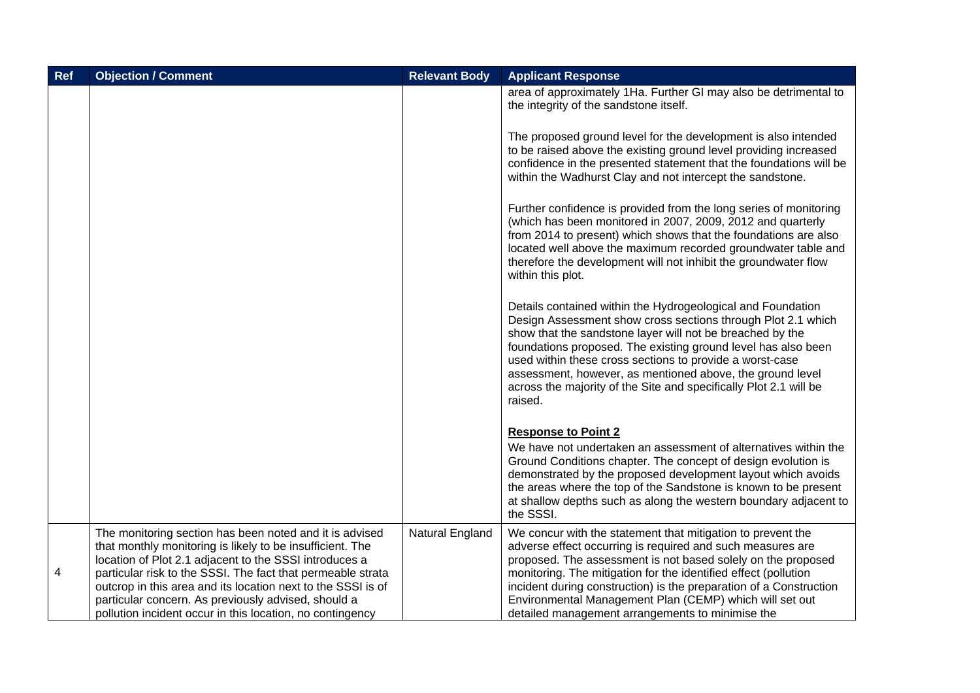| Ref | <b>Objection / Comment</b>                                                                                                                                                                                                                                                                                                                                                                                                        | <b>Relevant Body</b> | <b>Applicant Response</b>                                                                                                                                                                                                                                                                                                                                                                                                                                          |
|-----|-----------------------------------------------------------------------------------------------------------------------------------------------------------------------------------------------------------------------------------------------------------------------------------------------------------------------------------------------------------------------------------------------------------------------------------|----------------------|--------------------------------------------------------------------------------------------------------------------------------------------------------------------------------------------------------------------------------------------------------------------------------------------------------------------------------------------------------------------------------------------------------------------------------------------------------------------|
|     |                                                                                                                                                                                                                                                                                                                                                                                                                                   |                      | area of approximately 1Ha. Further GI may also be detrimental to<br>the integrity of the sandstone itself.                                                                                                                                                                                                                                                                                                                                                         |
|     |                                                                                                                                                                                                                                                                                                                                                                                                                                   |                      | The proposed ground level for the development is also intended<br>to be raised above the existing ground level providing increased<br>confidence in the presented statement that the foundations will be<br>within the Wadhurst Clay and not intercept the sandstone.                                                                                                                                                                                              |
|     |                                                                                                                                                                                                                                                                                                                                                                                                                                   |                      | Further confidence is provided from the long series of monitoring<br>(which has been monitored in 2007, 2009, 2012 and quarterly<br>from 2014 to present) which shows that the foundations are also<br>located well above the maximum recorded groundwater table and<br>therefore the development will not inhibit the groundwater flow<br>within this plot.                                                                                                       |
|     |                                                                                                                                                                                                                                                                                                                                                                                                                                   |                      | Details contained within the Hydrogeological and Foundation<br>Design Assessment show cross sections through Plot 2.1 which<br>show that the sandstone layer will not be breached by the<br>foundations proposed. The existing ground level has also been<br>used within these cross sections to provide a worst-case<br>assessment, however, as mentioned above, the ground level<br>across the majority of the Site and specifically Plot 2.1 will be<br>raised. |
|     |                                                                                                                                                                                                                                                                                                                                                                                                                                   |                      | <b>Response to Point 2</b><br>We have not undertaken an assessment of alternatives within the<br>Ground Conditions chapter. The concept of design evolution is<br>demonstrated by the proposed development layout which avoids<br>the areas where the top of the Sandstone is known to be present<br>at shallow depths such as along the western boundary adjacent to<br>the SSSI.                                                                                 |
| 4   | The monitoring section has been noted and it is advised<br>that monthly monitoring is likely to be insufficient. The<br>location of Plot 2.1 adjacent to the SSSI introduces a<br>particular risk to the SSSI. The fact that permeable strata<br>outcrop in this area and its location next to the SSSI is of<br>particular concern. As previously advised, should a<br>pollution incident occur in this location, no contingency | Natural England      | We concur with the statement that mitigation to prevent the<br>adverse effect occurring is required and such measures are<br>proposed. The assessment is not based solely on the proposed<br>monitoring. The mitigation for the identified effect (pollution<br>incident during construction) is the preparation of a Construction<br>Environmental Management Plan (CEMP) which will set out<br>detailed management arrangements to minimise the                  |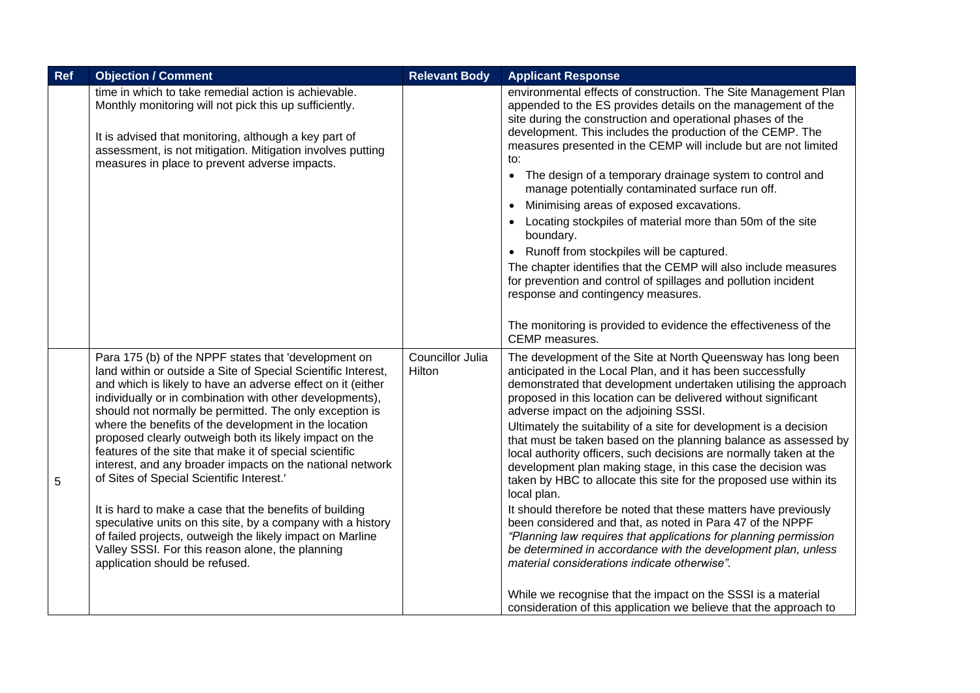| Ref | <b>Objection / Comment</b>                                                                                                                                                                                                                                                                                                                                                                                                                                                                                                                                                                                                                                                                                                                                                                                                                                                        | <b>Relevant Body</b>       | <b>Applicant Response</b>                                                                                                                                                                                                                                                                                                                                                                                                                                                                                                                                                                                                                                                                                                                                                                                                                                                                                                                                                                                                                                                                                                               |
|-----|-----------------------------------------------------------------------------------------------------------------------------------------------------------------------------------------------------------------------------------------------------------------------------------------------------------------------------------------------------------------------------------------------------------------------------------------------------------------------------------------------------------------------------------------------------------------------------------------------------------------------------------------------------------------------------------------------------------------------------------------------------------------------------------------------------------------------------------------------------------------------------------|----------------------------|-----------------------------------------------------------------------------------------------------------------------------------------------------------------------------------------------------------------------------------------------------------------------------------------------------------------------------------------------------------------------------------------------------------------------------------------------------------------------------------------------------------------------------------------------------------------------------------------------------------------------------------------------------------------------------------------------------------------------------------------------------------------------------------------------------------------------------------------------------------------------------------------------------------------------------------------------------------------------------------------------------------------------------------------------------------------------------------------------------------------------------------------|
|     | time in which to take remedial action is achievable.<br>Monthly monitoring will not pick this up sufficiently.<br>It is advised that monitoring, although a key part of<br>assessment, is not mitigation. Mitigation involves putting<br>measures in place to prevent adverse impacts.                                                                                                                                                                                                                                                                                                                                                                                                                                                                                                                                                                                            |                            | environmental effects of construction. The Site Management Plan<br>appended to the ES provides details on the management of the<br>site during the construction and operational phases of the<br>development. This includes the production of the CEMP. The<br>measures presented in the CEMP will include but are not limited<br>to:<br>The design of a temporary drainage system to control and<br>$\bullet$<br>manage potentially contaminated surface run off.<br>Minimising areas of exposed excavations.<br>Locating stockpiles of material more than 50m of the site<br>boundary.<br>Runoff from stockpiles will be captured.<br>$\bullet$<br>The chapter identifies that the CEMP will also include measures<br>for prevention and control of spillages and pollution incident<br>response and contingency measures.<br>The monitoring is provided to evidence the effectiveness of the<br>CEMP measures.                                                                                                                                                                                                                       |
| 5   | Para 175 (b) of the NPPF states that 'development on<br>land within or outside a Site of Special Scientific Interest,<br>and which is likely to have an adverse effect on it (either<br>individually or in combination with other developments),<br>should not normally be permitted. The only exception is<br>where the benefits of the development in the location<br>proposed clearly outweigh both its likely impact on the<br>features of the site that make it of special scientific<br>interest, and any broader impacts on the national network<br>of Sites of Special Scientific Interest.'<br>It is hard to make a case that the benefits of building<br>speculative units on this site, by a company with a history<br>of failed projects, outweigh the likely impact on Marline<br>Valley SSSI. For this reason alone, the planning<br>application should be refused. | Councillor Julia<br>Hilton | The development of the Site at North Queensway has long been<br>anticipated in the Local Plan, and it has been successfully<br>demonstrated that development undertaken utilising the approach<br>proposed in this location can be delivered without significant<br>adverse impact on the adjoining SSSI.<br>Ultimately the suitability of a site for development is a decision<br>that must be taken based on the planning balance as assessed by<br>local authority officers, such decisions are normally taken at the<br>development plan making stage, in this case the decision was<br>taken by HBC to allocate this site for the proposed use within its<br>local plan.<br>It should therefore be noted that these matters have previously<br>been considered and that, as noted in Para 47 of the NPPF<br>"Planning law requires that applications for planning permission<br>be determined in accordance with the development plan, unless<br>material considerations indicate otherwise".<br>While we recognise that the impact on the SSSI is a material<br>consideration of this application we believe that the approach to |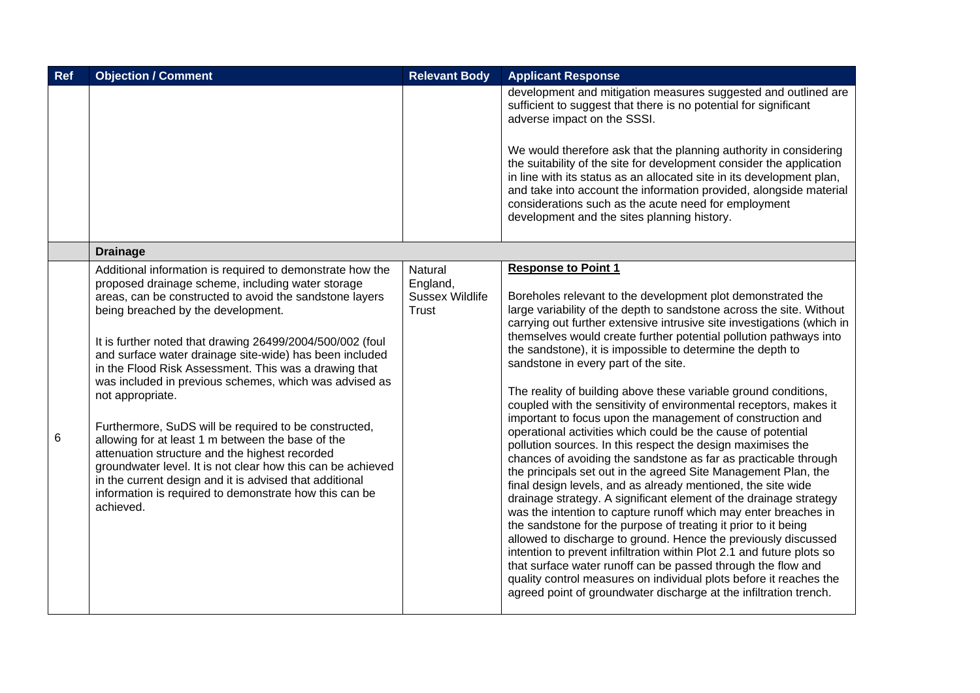| <b>Ref</b> | <b>Objection / Comment</b>                                                                                                                                                                                                                                                                                                                                                                                                                                                                                                                                                                                                                                                                                                                                                                                                                      | <b>Relevant Body</b>                                          | <b>Applicant Response</b>                                                                                                                                                                                                                                                                                                                                                                                                                                                                                                                                                                                                                                                                                                                                                                                                                                                                                                                                                                                                                                                                                                                                                                                                                                                                                                                                                                                                                                                                                                        |
|------------|-------------------------------------------------------------------------------------------------------------------------------------------------------------------------------------------------------------------------------------------------------------------------------------------------------------------------------------------------------------------------------------------------------------------------------------------------------------------------------------------------------------------------------------------------------------------------------------------------------------------------------------------------------------------------------------------------------------------------------------------------------------------------------------------------------------------------------------------------|---------------------------------------------------------------|----------------------------------------------------------------------------------------------------------------------------------------------------------------------------------------------------------------------------------------------------------------------------------------------------------------------------------------------------------------------------------------------------------------------------------------------------------------------------------------------------------------------------------------------------------------------------------------------------------------------------------------------------------------------------------------------------------------------------------------------------------------------------------------------------------------------------------------------------------------------------------------------------------------------------------------------------------------------------------------------------------------------------------------------------------------------------------------------------------------------------------------------------------------------------------------------------------------------------------------------------------------------------------------------------------------------------------------------------------------------------------------------------------------------------------------------------------------------------------------------------------------------------------|
|            |                                                                                                                                                                                                                                                                                                                                                                                                                                                                                                                                                                                                                                                                                                                                                                                                                                                 |                                                               | development and mitigation measures suggested and outlined are<br>sufficient to suggest that there is no potential for significant<br>adverse impact on the SSSI.                                                                                                                                                                                                                                                                                                                                                                                                                                                                                                                                                                                                                                                                                                                                                                                                                                                                                                                                                                                                                                                                                                                                                                                                                                                                                                                                                                |
|            |                                                                                                                                                                                                                                                                                                                                                                                                                                                                                                                                                                                                                                                                                                                                                                                                                                                 |                                                               | We would therefore ask that the planning authority in considering<br>the suitability of the site for development consider the application<br>in line with its status as an allocated site in its development plan,<br>and take into account the information provided, alongside material<br>considerations such as the acute need for employment<br>development and the sites planning history.                                                                                                                                                                                                                                                                                                                                                                                                                                                                                                                                                                                                                                                                                                                                                                                                                                                                                                                                                                                                                                                                                                                                  |
|            | <b>Drainage</b>                                                                                                                                                                                                                                                                                                                                                                                                                                                                                                                                                                                                                                                                                                                                                                                                                                 |                                                               |                                                                                                                                                                                                                                                                                                                                                                                                                                                                                                                                                                                                                                                                                                                                                                                                                                                                                                                                                                                                                                                                                                                                                                                                                                                                                                                                                                                                                                                                                                                                  |
| 6          | Additional information is required to demonstrate how the<br>proposed drainage scheme, including water storage<br>areas, can be constructed to avoid the sandstone layers<br>being breached by the development.<br>It is further noted that drawing 26499/2004/500/002 (foul<br>and surface water drainage site-wide) has been included<br>in the Flood Risk Assessment. This was a drawing that<br>was included in previous schemes, which was advised as<br>not appropriate.<br>Furthermore, SuDS will be required to be constructed,<br>allowing for at least 1 m between the base of the<br>attenuation structure and the highest recorded<br>groundwater level. It is not clear how this can be achieved<br>in the current design and it is advised that additional<br>information is required to demonstrate how this can be<br>achieved. | Natural<br>England,<br><b>Sussex Wildlife</b><br><b>Trust</b> | <b>Response to Point 1</b><br>Boreholes relevant to the development plot demonstrated the<br>large variability of the depth to sandstone across the site. Without<br>carrying out further extensive intrusive site investigations (which in<br>themselves would create further potential pollution pathways into<br>the sandstone), it is impossible to determine the depth to<br>sandstone in every part of the site.<br>The reality of building above these variable ground conditions,<br>coupled with the sensitivity of environmental receptors, makes it<br>important to focus upon the management of construction and<br>operational activities which could be the cause of potential<br>pollution sources. In this respect the design maximises the<br>chances of avoiding the sandstone as far as practicable through<br>the principals set out in the agreed Site Management Plan, the<br>final design levels, and as already mentioned, the site wide<br>drainage strategy. A significant element of the drainage strategy<br>was the intention to capture runoff which may enter breaches in<br>the sandstone for the purpose of treating it prior to it being<br>allowed to discharge to ground. Hence the previously discussed<br>intention to prevent infiltration within Plot 2.1 and future plots so<br>that surface water runoff can be passed through the flow and<br>quality control measures on individual plots before it reaches the<br>agreed point of groundwater discharge at the infiltration trench. |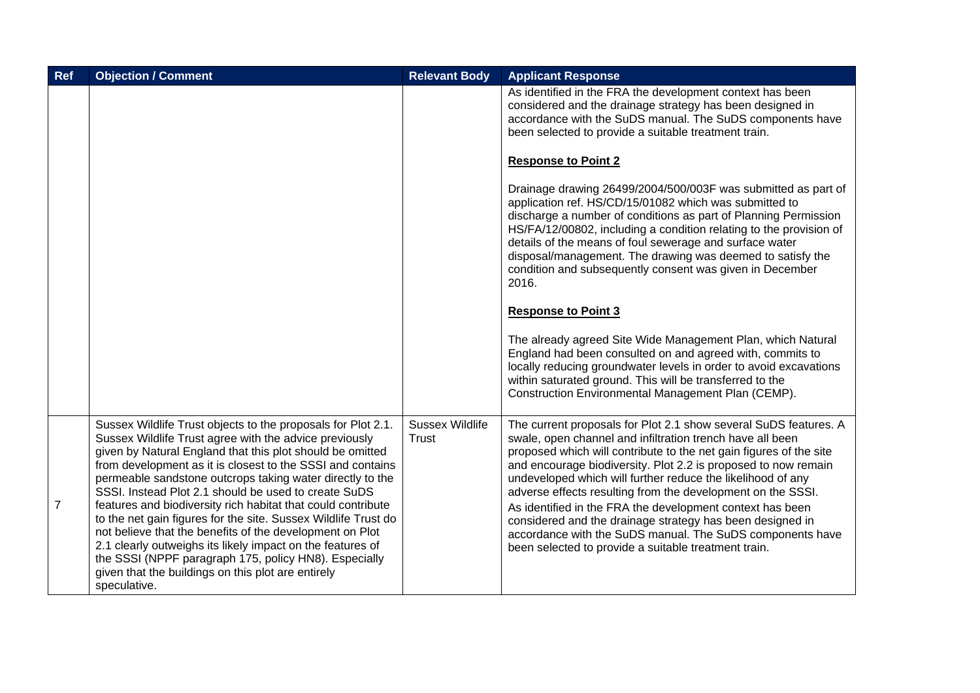| Ref            | <b>Objection / Comment</b>                                                                                                                                                                                                                                                                                                                                                                                                                                                                                                                                                                                                                                                                                                                                        | <b>Relevant Body</b>                   | <b>Applicant Response</b>                                                                                                                                                                                                                                                                                                                                                                                                                                                                                                                                                                                                                          |
|----------------|-------------------------------------------------------------------------------------------------------------------------------------------------------------------------------------------------------------------------------------------------------------------------------------------------------------------------------------------------------------------------------------------------------------------------------------------------------------------------------------------------------------------------------------------------------------------------------------------------------------------------------------------------------------------------------------------------------------------------------------------------------------------|----------------------------------------|----------------------------------------------------------------------------------------------------------------------------------------------------------------------------------------------------------------------------------------------------------------------------------------------------------------------------------------------------------------------------------------------------------------------------------------------------------------------------------------------------------------------------------------------------------------------------------------------------------------------------------------------------|
|                |                                                                                                                                                                                                                                                                                                                                                                                                                                                                                                                                                                                                                                                                                                                                                                   |                                        | As identified in the FRA the development context has been<br>considered and the drainage strategy has been designed in<br>accordance with the SuDS manual. The SuDS components have<br>been selected to provide a suitable treatment train.                                                                                                                                                                                                                                                                                                                                                                                                        |
|                |                                                                                                                                                                                                                                                                                                                                                                                                                                                                                                                                                                                                                                                                                                                                                                   |                                        | <b>Response to Point 2</b>                                                                                                                                                                                                                                                                                                                                                                                                                                                                                                                                                                                                                         |
|                |                                                                                                                                                                                                                                                                                                                                                                                                                                                                                                                                                                                                                                                                                                                                                                   |                                        | Drainage drawing 26499/2004/500/003F was submitted as part of<br>application ref. HS/CD/15/01082 which was submitted to<br>discharge a number of conditions as part of Planning Permission<br>HS/FA/12/00802, including a condition relating to the provision of<br>details of the means of foul sewerage and surface water<br>disposal/management. The drawing was deemed to satisfy the<br>condition and subsequently consent was given in December<br>2016.                                                                                                                                                                                     |
|                |                                                                                                                                                                                                                                                                                                                                                                                                                                                                                                                                                                                                                                                                                                                                                                   |                                        | <b>Response to Point 3</b>                                                                                                                                                                                                                                                                                                                                                                                                                                                                                                                                                                                                                         |
|                |                                                                                                                                                                                                                                                                                                                                                                                                                                                                                                                                                                                                                                                                                                                                                                   |                                        | The already agreed Site Wide Management Plan, which Natural<br>England had been consulted on and agreed with, commits to<br>locally reducing groundwater levels in order to avoid excavations<br>within saturated ground. This will be transferred to the<br>Construction Environmental Management Plan (CEMP).                                                                                                                                                                                                                                                                                                                                    |
| $\overline{7}$ | Sussex Wildlife Trust objects to the proposals for Plot 2.1.<br>Sussex Wildlife Trust agree with the advice previously<br>given by Natural England that this plot should be omitted<br>from development as it is closest to the SSSI and contains<br>permeable sandstone outcrops taking water directly to the<br>SSSI. Instead Plot 2.1 should be used to create SuDS<br>features and biodiversity rich habitat that could contribute<br>to the net gain figures for the site. Sussex Wildlife Trust do<br>not believe that the benefits of the development on Plot<br>2.1 clearly outweighs its likely impact on the features of<br>the SSSI (NPPF paragraph 175, policy HN8). Especially<br>given that the buildings on this plot are entirely<br>speculative. | <b>Sussex Wildlife</b><br><b>Trust</b> | The current proposals for Plot 2.1 show several SuDS features. A<br>swale, open channel and infiltration trench have all been<br>proposed which will contribute to the net gain figures of the site<br>and encourage biodiversity. Plot 2.2 is proposed to now remain<br>undeveloped which will further reduce the likelihood of any<br>adverse effects resulting from the development on the SSSI.<br>As identified in the FRA the development context has been<br>considered and the drainage strategy has been designed in<br>accordance with the SuDS manual. The SuDS components have<br>been selected to provide a suitable treatment train. |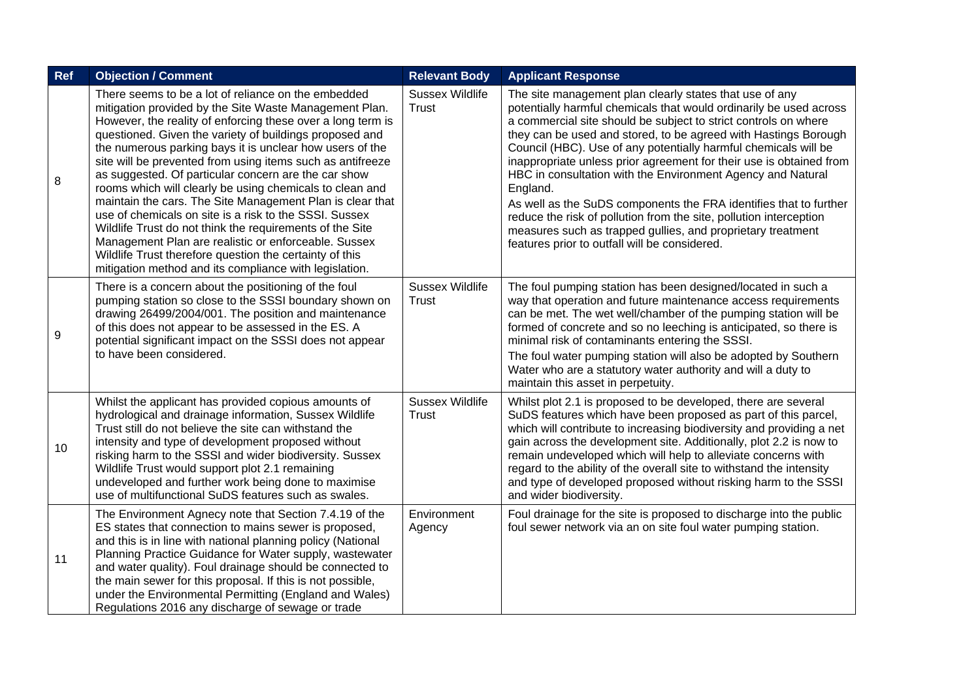| <b>Ref</b> | <b>Objection / Comment</b>                                                                                                                                                                                                                                                                                                                                                                                                                                                                                                                                                                                                                                                                                                                                                                                                                            | <b>Relevant Body</b>                   | <b>Applicant Response</b>                                                                                                                                                                                                                                                                                                                                                                                                                                                                                                                                                                                                                                                                                                                           |
|------------|-------------------------------------------------------------------------------------------------------------------------------------------------------------------------------------------------------------------------------------------------------------------------------------------------------------------------------------------------------------------------------------------------------------------------------------------------------------------------------------------------------------------------------------------------------------------------------------------------------------------------------------------------------------------------------------------------------------------------------------------------------------------------------------------------------------------------------------------------------|----------------------------------------|-----------------------------------------------------------------------------------------------------------------------------------------------------------------------------------------------------------------------------------------------------------------------------------------------------------------------------------------------------------------------------------------------------------------------------------------------------------------------------------------------------------------------------------------------------------------------------------------------------------------------------------------------------------------------------------------------------------------------------------------------------|
| 8          | There seems to be a lot of reliance on the embedded<br>mitigation provided by the Site Waste Management Plan.<br>However, the reality of enforcing these over a long term is<br>questioned. Given the variety of buildings proposed and<br>the numerous parking bays it is unclear how users of the<br>site will be prevented from using items such as antifreeze<br>as suggested. Of particular concern are the car show<br>rooms which will clearly be using chemicals to clean and<br>maintain the cars. The Site Management Plan is clear that<br>use of chemicals on site is a risk to the SSSI. Sussex<br>Wildlife Trust do not think the requirements of the Site<br>Management Plan are realistic or enforceable. Sussex<br>Wildlife Trust therefore question the certainty of this<br>mitigation method and its compliance with legislation. | <b>Sussex Wildlife</b><br><b>Trust</b> | The site management plan clearly states that use of any<br>potentially harmful chemicals that would ordinarily be used across<br>a commercial site should be subject to strict controls on where<br>they can be used and stored, to be agreed with Hastings Borough<br>Council (HBC). Use of any potentially harmful chemicals will be<br>inappropriate unless prior agreement for their use is obtained from<br>HBC in consultation with the Environment Agency and Natural<br>England.<br>As well as the SuDS components the FRA identifies that to further<br>reduce the risk of pollution from the site, pollution interception<br>measures such as trapped gullies, and proprietary treatment<br>features prior to outfall will be considered. |
| 9          | There is a concern about the positioning of the foul<br>pumping station so close to the SSSI boundary shown on<br>drawing 26499/2004/001. The position and maintenance<br>of this does not appear to be assessed in the ES. A<br>potential significant impact on the SSSI does not appear<br>to have been considered.                                                                                                                                                                                                                                                                                                                                                                                                                                                                                                                                 | <b>Sussex Wildlife</b><br><b>Trust</b> | The foul pumping station has been designed/located in such a<br>way that operation and future maintenance access requirements<br>can be met. The wet well/chamber of the pumping station will be<br>formed of concrete and so no leeching is anticipated, so there is<br>minimal risk of contaminants entering the SSSI.<br>The foul water pumping station will also be adopted by Southern<br>Water who are a statutory water authority and will a duty to<br>maintain this asset in perpetuity.                                                                                                                                                                                                                                                   |
| 10         | Whilst the applicant has provided copious amounts of<br>hydrological and drainage information, Sussex Wildlife<br>Trust still do not believe the site can withstand the<br>intensity and type of development proposed without<br>risking harm to the SSSI and wider biodiversity. Sussex<br>Wildlife Trust would support plot 2.1 remaining<br>undeveloped and further work being done to maximise<br>use of multifunctional SuDS features such as swales.                                                                                                                                                                                                                                                                                                                                                                                            | <b>Sussex Wildlife</b><br>Trust        | Whilst plot 2.1 is proposed to be developed, there are several<br>SuDS features which have been proposed as part of this parcel,<br>which will contribute to increasing biodiversity and providing a net<br>gain across the development site. Additionally, plot 2.2 is now to<br>remain undeveloped which will help to alleviate concerns with<br>regard to the ability of the overall site to withstand the intensity<br>and type of developed proposed without risking harm to the SSSI<br>and wider biodiversity.                                                                                                                                                                                                                               |
| 11         | The Environment Agnecy note that Section 7.4.19 of the<br>ES states that connection to mains sewer is proposed,<br>and this is in line with national planning policy (National<br>Planning Practice Guidance for Water supply, wastewater<br>and water quality). Foul drainage should be connected to<br>the main sewer for this proposal. If this is not possible,<br>under the Environmental Permitting (England and Wales)<br>Regulations 2016 any discharge of sewage or trade                                                                                                                                                                                                                                                                                                                                                                    | Environment<br>Agency                  | Foul drainage for the site is proposed to discharge into the public<br>foul sewer network via an on site foul water pumping station.                                                                                                                                                                                                                                                                                                                                                                                                                                                                                                                                                                                                                |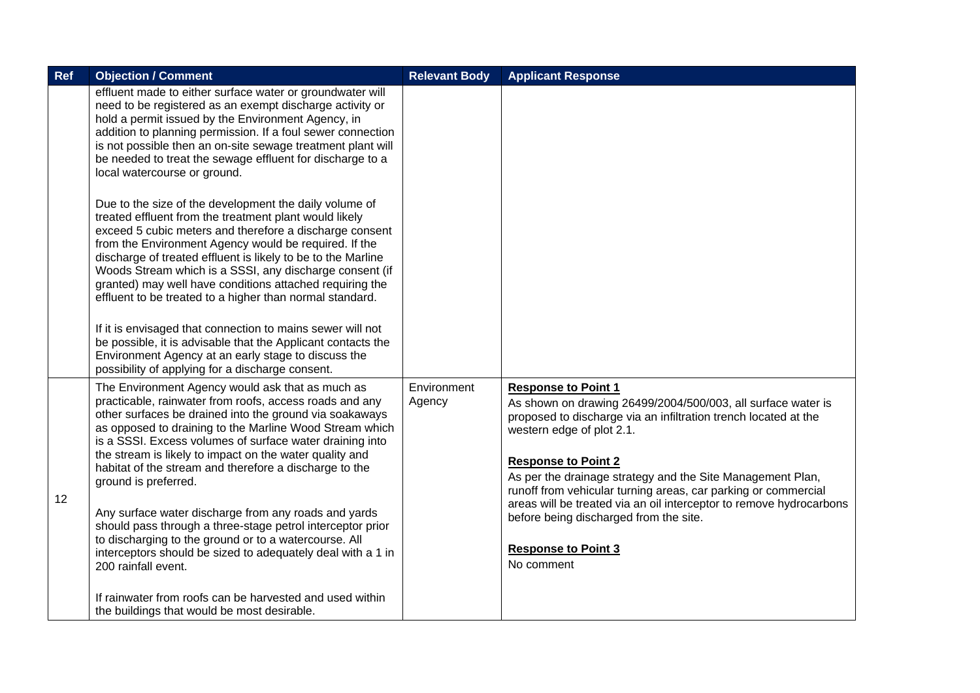| Ref | <b>Objection / Comment</b>                                                                                                                                                                                                                                                                                                                                                                                                                                                                                                                                                                                                                                                                                      | <b>Relevant Body</b>  | <b>Applicant Response</b>                                                                                                                                                                                                                                                                                                                                                                                                                                                                                             |
|-----|-----------------------------------------------------------------------------------------------------------------------------------------------------------------------------------------------------------------------------------------------------------------------------------------------------------------------------------------------------------------------------------------------------------------------------------------------------------------------------------------------------------------------------------------------------------------------------------------------------------------------------------------------------------------------------------------------------------------|-----------------------|-----------------------------------------------------------------------------------------------------------------------------------------------------------------------------------------------------------------------------------------------------------------------------------------------------------------------------------------------------------------------------------------------------------------------------------------------------------------------------------------------------------------------|
|     | effluent made to either surface water or groundwater will<br>need to be registered as an exempt discharge activity or<br>hold a permit issued by the Environment Agency, in<br>addition to planning permission. If a foul sewer connection<br>is not possible then an on-site sewage treatment plant will<br>be needed to treat the sewage effluent for discharge to a<br>local watercourse or ground.                                                                                                                                                                                                                                                                                                          |                       |                                                                                                                                                                                                                                                                                                                                                                                                                                                                                                                       |
|     | Due to the size of the development the daily volume of<br>treated effluent from the treatment plant would likely<br>exceed 5 cubic meters and therefore a discharge consent<br>from the Environment Agency would be required. If the<br>discharge of treated effluent is likely to be to the Marline<br>Woods Stream which is a SSSI, any discharge consent (if<br>granted) may well have conditions attached requiring the<br>effluent to be treated to a higher than normal standard.<br>If it is envisaged that connection to mains sewer will not<br>be possible, it is advisable that the Applicant contacts the<br>Environment Agency at an early stage to discuss the                                    |                       |                                                                                                                                                                                                                                                                                                                                                                                                                                                                                                                       |
|     | possibility of applying for a discharge consent.                                                                                                                                                                                                                                                                                                                                                                                                                                                                                                                                                                                                                                                                |                       |                                                                                                                                                                                                                                                                                                                                                                                                                                                                                                                       |
| 12  | The Environment Agency would ask that as much as<br>practicable, rainwater from roofs, access roads and any<br>other surfaces be drained into the ground via soakaways<br>as opposed to draining to the Marline Wood Stream which<br>is a SSSI. Excess volumes of surface water draining into<br>the stream is likely to impact on the water quality and<br>habitat of the stream and therefore a discharge to the<br>ground is preferred.<br>Any surface water discharge from any roads and yards<br>should pass through a three-stage petrol interceptor prior<br>to discharging to the ground or to a watercourse. All<br>interceptors should be sized to adequately deal with a 1 in<br>200 rainfall event. | Environment<br>Agency | <b>Response to Point 1</b><br>As shown on drawing 26499/2004/500/003, all surface water is<br>proposed to discharge via an infiltration trench located at the<br>western edge of plot 2.1.<br><b>Response to Point 2</b><br>As per the drainage strategy and the Site Management Plan,<br>runoff from vehicular turning areas, car parking or commercial<br>areas will be treated via an oil interceptor to remove hydrocarbons<br>before being discharged from the site.<br><b>Response to Point 3</b><br>No comment |
|     | If rainwater from roofs can be harvested and used within<br>the buildings that would be most desirable.                                                                                                                                                                                                                                                                                                                                                                                                                                                                                                                                                                                                         |                       |                                                                                                                                                                                                                                                                                                                                                                                                                                                                                                                       |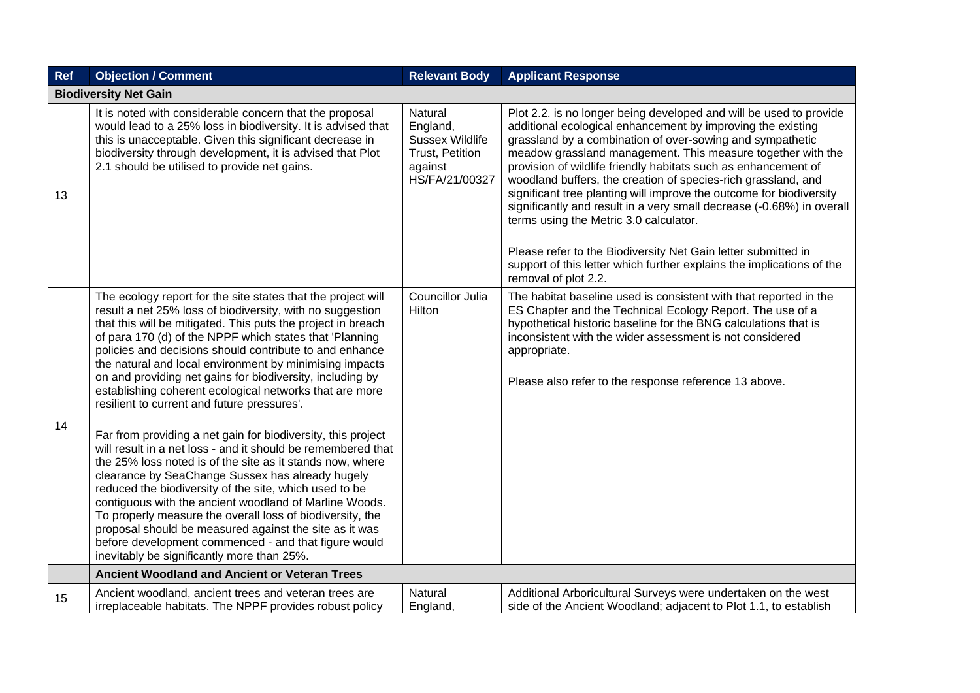| Ref | <b>Objection / Comment</b>                                                                                                                                                                                                                                                                                                                                                                                                                                                                                                                                                                                                                                                                                                                                                                                                                                                                                                                                                                                                                                                                                                                          | <b>Relevant Body</b>                                                                          | <b>Applicant Response</b>                                                                                                                                                                                                                                                                                                                                                                                                                                                                                                                                                                                                                                                                                                                                    |  |  |  |
|-----|-----------------------------------------------------------------------------------------------------------------------------------------------------------------------------------------------------------------------------------------------------------------------------------------------------------------------------------------------------------------------------------------------------------------------------------------------------------------------------------------------------------------------------------------------------------------------------------------------------------------------------------------------------------------------------------------------------------------------------------------------------------------------------------------------------------------------------------------------------------------------------------------------------------------------------------------------------------------------------------------------------------------------------------------------------------------------------------------------------------------------------------------------------|-----------------------------------------------------------------------------------------------|--------------------------------------------------------------------------------------------------------------------------------------------------------------------------------------------------------------------------------------------------------------------------------------------------------------------------------------------------------------------------------------------------------------------------------------------------------------------------------------------------------------------------------------------------------------------------------------------------------------------------------------------------------------------------------------------------------------------------------------------------------------|--|--|--|
|     | <b>Biodiversity Net Gain</b>                                                                                                                                                                                                                                                                                                                                                                                                                                                                                                                                                                                                                                                                                                                                                                                                                                                                                                                                                                                                                                                                                                                        |                                                                                               |                                                                                                                                                                                                                                                                                                                                                                                                                                                                                                                                                                                                                                                                                                                                                              |  |  |  |
| 13  | It is noted with considerable concern that the proposal<br>would lead to a 25% loss in biodiversity. It is advised that<br>this is unacceptable. Given this significant decrease in<br>biodiversity through development, it is advised that Plot<br>2.1 should be utilised to provide net gains.                                                                                                                                                                                                                                                                                                                                                                                                                                                                                                                                                                                                                                                                                                                                                                                                                                                    | Natural<br>England,<br><b>Sussex Wildlife</b><br>Trust, Petition<br>against<br>HS/FA/21/00327 | Plot 2.2. is no longer being developed and will be used to provide<br>additional ecological enhancement by improving the existing<br>grassland by a combination of over-sowing and sympathetic<br>meadow grassland management. This measure together with the<br>provision of wildlife friendly habitats such as enhancement of<br>woodland buffers, the creation of species-rich grassland, and<br>significant tree planting will improve the outcome for biodiversity<br>significantly and result in a very small decrease (-0.68%) in overall<br>terms using the Metric 3.0 calculator.<br>Please refer to the Biodiversity Net Gain letter submitted in<br>support of this letter which further explains the implications of the<br>removal of plot 2.2. |  |  |  |
| 14  | The ecology report for the site states that the project will<br>result a net 25% loss of biodiversity, with no suggestion<br>that this will be mitigated. This puts the project in breach<br>of para 170 (d) of the NPPF which states that 'Planning<br>policies and decisions should contribute to and enhance<br>the natural and local environment by minimising impacts<br>on and providing net gains for biodiversity, including by<br>establishing coherent ecological networks that are more<br>resilient to current and future pressures'.<br>Far from providing a net gain for biodiversity, this project<br>will result in a net loss - and it should be remembered that<br>the 25% loss noted is of the site as it stands now, where<br>clearance by SeaChange Sussex has already hugely<br>reduced the biodiversity of the site, which used to be<br>contiguous with the ancient woodland of Marline Woods.<br>To properly measure the overall loss of biodiversity, the<br>proposal should be measured against the site as it was<br>before development commenced - and that figure would<br>inevitably be significantly more than 25%. | Councillor Julia<br>Hilton                                                                    | The habitat baseline used is consistent with that reported in the<br>ES Chapter and the Technical Ecology Report. The use of a<br>hypothetical historic baseline for the BNG calculations that is<br>inconsistent with the wider assessment is not considered<br>appropriate.<br>Please also refer to the response reference 13 above.                                                                                                                                                                                                                                                                                                                                                                                                                       |  |  |  |
|     | <b>Ancient Woodland and Ancient or Veteran Trees</b>                                                                                                                                                                                                                                                                                                                                                                                                                                                                                                                                                                                                                                                                                                                                                                                                                                                                                                                                                                                                                                                                                                |                                                                                               |                                                                                                                                                                                                                                                                                                                                                                                                                                                                                                                                                                                                                                                                                                                                                              |  |  |  |
| 15  | Ancient woodland, ancient trees and veteran trees are<br>irreplaceable habitats. The NPPF provides robust policy                                                                                                                                                                                                                                                                                                                                                                                                                                                                                                                                                                                                                                                                                                                                                                                                                                                                                                                                                                                                                                    | Natural<br>England,                                                                           | Additional Arboricultural Surveys were undertaken on the west<br>side of the Ancient Woodland; adjacent to Plot 1.1, to establish                                                                                                                                                                                                                                                                                                                                                                                                                                                                                                                                                                                                                            |  |  |  |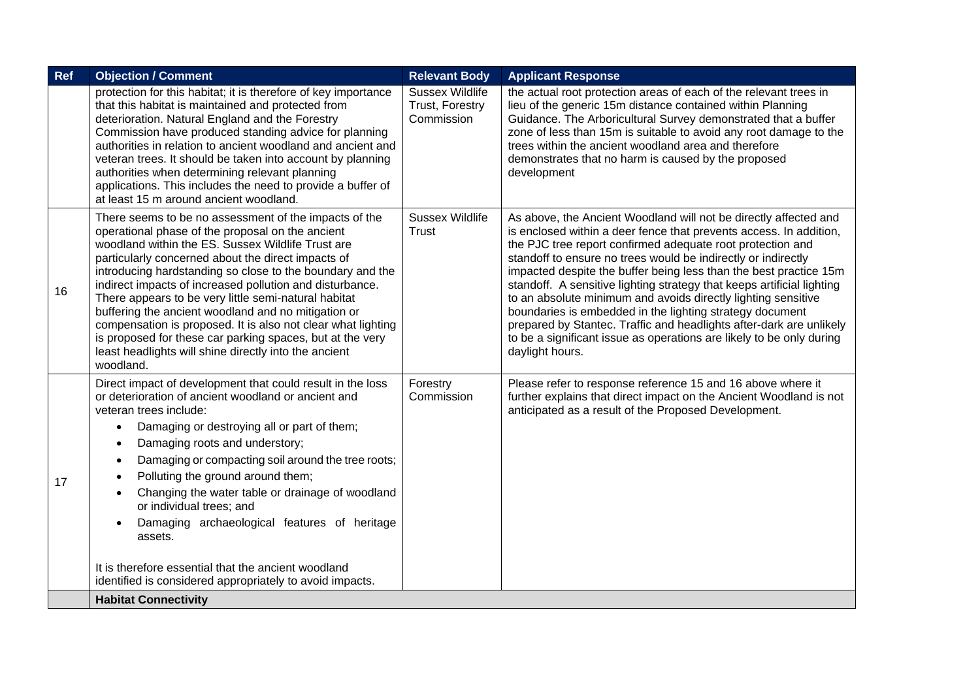| Ref | <b>Objection / Comment</b>                                                                                                                                                                                                                                                                                                                                                                                                                                                                                                                                                                                                                                          | <b>Relevant Body</b>                                    | <b>Applicant Response</b>                                                                                                                                                                                                                                                                                                                                                                                                                                                                                                                                                                                                                                                                                           |
|-----|---------------------------------------------------------------------------------------------------------------------------------------------------------------------------------------------------------------------------------------------------------------------------------------------------------------------------------------------------------------------------------------------------------------------------------------------------------------------------------------------------------------------------------------------------------------------------------------------------------------------------------------------------------------------|---------------------------------------------------------|---------------------------------------------------------------------------------------------------------------------------------------------------------------------------------------------------------------------------------------------------------------------------------------------------------------------------------------------------------------------------------------------------------------------------------------------------------------------------------------------------------------------------------------------------------------------------------------------------------------------------------------------------------------------------------------------------------------------|
|     | protection for this habitat; it is therefore of key importance<br>that this habitat is maintained and protected from<br>deterioration. Natural England and the Forestry<br>Commission have produced standing advice for planning<br>authorities in relation to ancient woodland and ancient and<br>veteran trees. It should be taken into account by planning<br>authorities when determining relevant planning<br>applications. This includes the need to provide a buffer of<br>at least 15 m around ancient woodland.                                                                                                                                            | <b>Sussex Wildlife</b><br>Trust, Forestry<br>Commission | the actual root protection areas of each of the relevant trees in<br>lieu of the generic 15m distance contained within Planning<br>Guidance. The Arboricultural Survey demonstrated that a buffer<br>zone of less than 15m is suitable to avoid any root damage to the<br>trees within the ancient woodland area and therefore<br>demonstrates that no harm is caused by the proposed<br>development                                                                                                                                                                                                                                                                                                                |
| 16  | There seems to be no assessment of the impacts of the<br>operational phase of the proposal on the ancient<br>woodland within the ES. Sussex Wildlife Trust are<br>particularly concerned about the direct impacts of<br>introducing hardstanding so close to the boundary and the<br>indirect impacts of increased pollution and disturbance.<br>There appears to be very little semi-natural habitat<br>buffering the ancient woodland and no mitigation or<br>compensation is proposed. It is also not clear what lighting<br>is proposed for these car parking spaces, but at the very<br>least headlights will shine directly into the ancient<br>woodland.     | <b>Sussex Wildlife</b><br><b>Trust</b>                  | As above, the Ancient Woodland will not be directly affected and<br>is enclosed within a deer fence that prevents access. In addition,<br>the PJC tree report confirmed adequate root protection and<br>standoff to ensure no trees would be indirectly or indirectly<br>impacted despite the buffer being less than the best practice 15m<br>standoff. A sensitive lighting strategy that keeps artificial lighting<br>to an absolute minimum and avoids directly lighting sensitive<br>boundaries is embedded in the lighting strategy document<br>prepared by Stantec. Traffic and headlights after-dark are unlikely<br>to be a significant issue as operations are likely to be only during<br>daylight hours. |
| 17  | Direct impact of development that could result in the loss<br>or deterioration of ancient woodland or ancient and<br>veteran trees include:<br>Damaging or destroying all or part of them;<br>$\bullet$<br>Damaging roots and understory;<br>$\bullet$<br>Damaging or compacting soil around the tree roots;<br>$\bullet$<br>Polluting the ground around them;<br>$\bullet$<br>Changing the water table or drainage of woodland<br>$\bullet$<br>or individual trees; and<br>Damaging archaeological features of heritage<br>$\bullet$<br>assets.<br>It is therefore essential that the ancient woodland<br>identified is considered appropriately to avoid impacts. | Forestry<br>Commission                                  | Please refer to response reference 15 and 16 above where it<br>further explains that direct impact on the Ancient Woodland is not<br>anticipated as a result of the Proposed Development.                                                                                                                                                                                                                                                                                                                                                                                                                                                                                                                           |
|     | <b>Habitat Connectivity</b>                                                                                                                                                                                                                                                                                                                                                                                                                                                                                                                                                                                                                                         |                                                         |                                                                                                                                                                                                                                                                                                                                                                                                                                                                                                                                                                                                                                                                                                                     |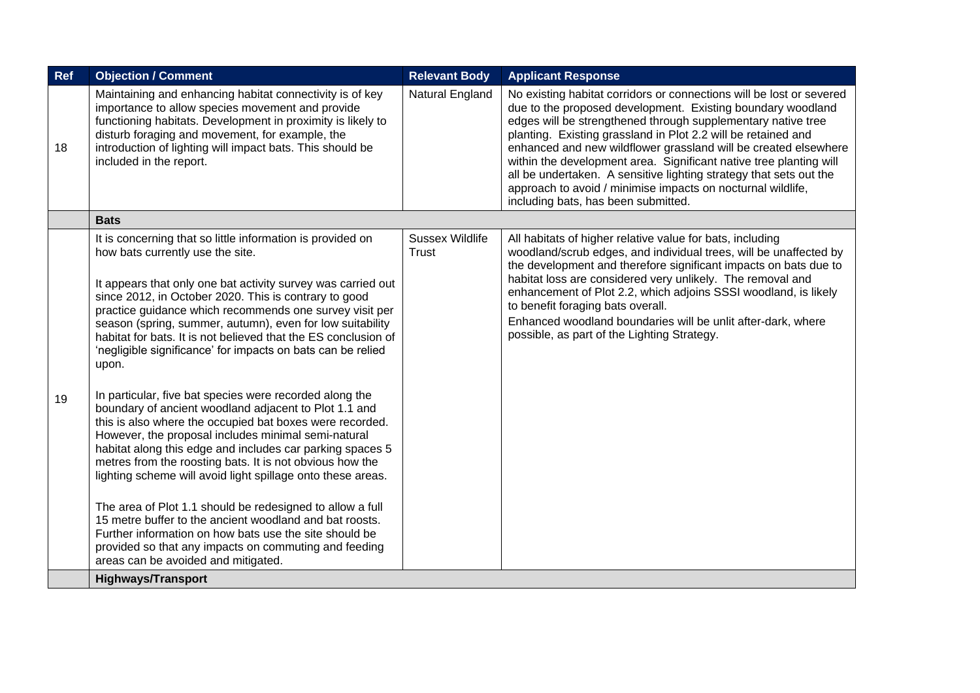| Ref | <b>Objection / Comment</b>                                                                                                                                                                                                                                                                                                                                                                                                                                                                                                                                                                                                                                                                                                                                                                                                                                                                                                                                                                                                                                                                                                                                                                                                              | <b>Relevant Body</b>                   | <b>Applicant Response</b>                                                                                                                                                                                                                                                                                                                                                                                                                                                                                                                                                                 |
|-----|-----------------------------------------------------------------------------------------------------------------------------------------------------------------------------------------------------------------------------------------------------------------------------------------------------------------------------------------------------------------------------------------------------------------------------------------------------------------------------------------------------------------------------------------------------------------------------------------------------------------------------------------------------------------------------------------------------------------------------------------------------------------------------------------------------------------------------------------------------------------------------------------------------------------------------------------------------------------------------------------------------------------------------------------------------------------------------------------------------------------------------------------------------------------------------------------------------------------------------------------|----------------------------------------|-------------------------------------------------------------------------------------------------------------------------------------------------------------------------------------------------------------------------------------------------------------------------------------------------------------------------------------------------------------------------------------------------------------------------------------------------------------------------------------------------------------------------------------------------------------------------------------------|
| 18  | Maintaining and enhancing habitat connectivity is of key<br>importance to allow species movement and provide<br>functioning habitats. Development in proximity is likely to<br>disturb foraging and movement, for example, the<br>introduction of lighting will impact bats. This should be<br>included in the report.                                                                                                                                                                                                                                                                                                                                                                                                                                                                                                                                                                                                                                                                                                                                                                                                                                                                                                                  | Natural England                        | No existing habitat corridors or connections will be lost or severed<br>due to the proposed development. Existing boundary woodland<br>edges will be strengthened through supplementary native tree<br>planting. Existing grassland in Plot 2.2 will be retained and<br>enhanced and new wildflower grassland will be created elsewhere<br>within the development area. Significant native tree planting will<br>all be undertaken. A sensitive lighting strategy that sets out the<br>approach to avoid / minimise impacts on nocturnal wildlife,<br>including bats, has been submitted. |
|     | <b>Bats</b>                                                                                                                                                                                                                                                                                                                                                                                                                                                                                                                                                                                                                                                                                                                                                                                                                                                                                                                                                                                                                                                                                                                                                                                                                             |                                        |                                                                                                                                                                                                                                                                                                                                                                                                                                                                                                                                                                                           |
| 19  | It is concerning that so little information is provided on<br>how bats currently use the site.<br>It appears that only one bat activity survey was carried out<br>since 2012, in October 2020. This is contrary to good<br>practice guidance which recommends one survey visit per<br>season (spring, summer, autumn), even for low suitability<br>habitat for bats. It is not believed that the ES conclusion of<br>'negligible significance' for impacts on bats can be relied<br>upon.<br>In particular, five bat species were recorded along the<br>boundary of ancient woodland adjacent to Plot 1.1 and<br>this is also where the occupied bat boxes were recorded.<br>However, the proposal includes minimal semi-natural<br>habitat along this edge and includes car parking spaces 5<br>metres from the roosting bats. It is not obvious how the<br>lighting scheme will avoid light spillage onto these areas.<br>The area of Plot 1.1 should be redesigned to allow a full<br>15 metre buffer to the ancient woodland and bat roosts.<br>Further information on how bats use the site should be<br>provided so that any impacts on commuting and feeding<br>areas can be avoided and mitigated.<br><b>Highways/Transport</b> | <b>Sussex Wildlife</b><br><b>Trust</b> | All habitats of higher relative value for bats, including<br>woodland/scrub edges, and individual trees, will be unaffected by<br>the development and therefore significant impacts on bats due to<br>habitat loss are considered very unlikely. The removal and<br>enhancement of Plot 2.2, which adjoins SSSI woodland, is likely<br>to benefit foraging bats overall.<br>Enhanced woodland boundaries will be unlit after-dark, where<br>possible, as part of the Lighting Strategy.                                                                                                   |
|     |                                                                                                                                                                                                                                                                                                                                                                                                                                                                                                                                                                                                                                                                                                                                                                                                                                                                                                                                                                                                                                                                                                                                                                                                                                         |                                        |                                                                                                                                                                                                                                                                                                                                                                                                                                                                                                                                                                                           |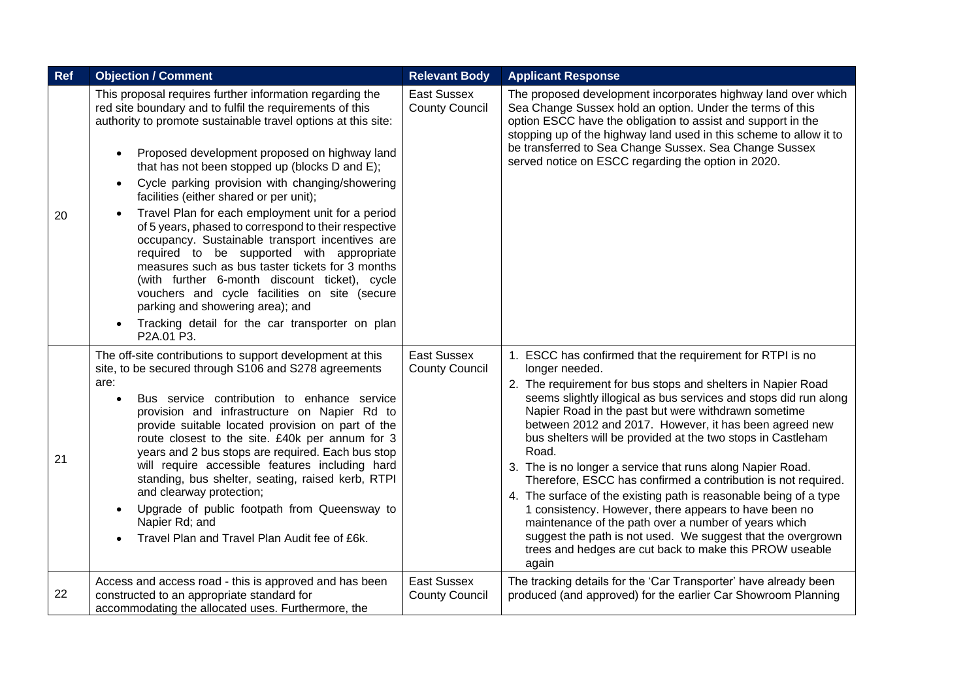| Ref | <b>Objection / Comment</b>                                                                                                                                                                                                                                                                                                                                                                                                                                                                                                                                                                                                                                                                                                                                                                                                                                                                            | <b>Relevant Body</b>                        | <b>Applicant Response</b>                                                                                                                                                                                                                                                                                                                                                                                                                                                                                                                                                                                                                                                                                                                                                                                                                                        |
|-----|-------------------------------------------------------------------------------------------------------------------------------------------------------------------------------------------------------------------------------------------------------------------------------------------------------------------------------------------------------------------------------------------------------------------------------------------------------------------------------------------------------------------------------------------------------------------------------------------------------------------------------------------------------------------------------------------------------------------------------------------------------------------------------------------------------------------------------------------------------------------------------------------------------|---------------------------------------------|------------------------------------------------------------------------------------------------------------------------------------------------------------------------------------------------------------------------------------------------------------------------------------------------------------------------------------------------------------------------------------------------------------------------------------------------------------------------------------------------------------------------------------------------------------------------------------------------------------------------------------------------------------------------------------------------------------------------------------------------------------------------------------------------------------------------------------------------------------------|
| 20  | This proposal requires further information regarding the<br>red site boundary and to fulfil the requirements of this<br>authority to promote sustainable travel options at this site:<br>Proposed development proposed on highway land<br>$\bullet$<br>that has not been stopped up (blocks D and E);<br>Cycle parking provision with changing/showering<br>$\bullet$<br>facilities (either shared or per unit);<br>Travel Plan for each employment unit for a period<br>$\bullet$<br>of 5 years, phased to correspond to their respective<br>occupancy. Sustainable transport incentives are<br>required to be supported with appropriate<br>measures such as bus taster tickets for 3 months<br>(with further 6-month discount ticket), cycle<br>vouchers and cycle facilities on site (secure<br>parking and showering area); and<br>Tracking detail for the car transporter on plan<br>P2A.01 P3. | East Sussex<br><b>County Council</b>        | The proposed development incorporates highway land over which<br>Sea Change Sussex hold an option. Under the terms of this<br>option ESCC have the obligation to assist and support in the<br>stopping up of the highway land used in this scheme to allow it to<br>be transferred to Sea Change Sussex. Sea Change Sussex<br>served notice on ESCC regarding the option in 2020.                                                                                                                                                                                                                                                                                                                                                                                                                                                                                |
| 21  | The off-site contributions to support development at this<br>site, to be secured through S106 and S278 agreements<br>are:<br>Bus service contribution to enhance service<br>$\bullet$<br>provision and infrastructure on Napier Rd to<br>provide suitable located provision on part of the<br>route closest to the site. £40k per annum for 3<br>years and 2 bus stops are required. Each bus stop<br>will require accessible features including hard<br>standing, bus shelter, seating, raised kerb, RTPI<br>and clearway protection;<br>Upgrade of public footpath from Queensway to<br>$\bullet$<br>Napier Rd; and<br>Travel Plan and Travel Plan Audit fee of £6k.<br>$\bullet$                                                                                                                                                                                                                   | East Sussex<br><b>County Council</b>        | 1. ESCC has confirmed that the requirement for RTPI is no<br>longer needed.<br>2. The requirement for bus stops and shelters in Napier Road<br>seems slightly illogical as bus services and stops did run along<br>Napier Road in the past but were withdrawn sometime<br>between 2012 and 2017. However, it has been agreed new<br>bus shelters will be provided at the two stops in Castleham<br>Road.<br>3. The is no longer a service that runs along Napier Road.<br>Therefore, ESCC has confirmed a contribution is not required.<br>4. The surface of the existing path is reasonable being of a type<br>1 consistency. However, there appears to have been no<br>maintenance of the path over a number of years which<br>suggest the path is not used. We suggest that the overgrown<br>trees and hedges are cut back to make this PROW useable<br>again |
| 22  | Access and access road - this is approved and has been<br>constructed to an appropriate standard for<br>accommodating the allocated uses. Furthermore, the                                                                                                                                                                                                                                                                                                                                                                                                                                                                                                                                                                                                                                                                                                                                            | <b>East Sussex</b><br><b>County Council</b> | The tracking details for the 'Car Transporter' have already been<br>produced (and approved) for the earlier Car Showroom Planning                                                                                                                                                                                                                                                                                                                                                                                                                                                                                                                                                                                                                                                                                                                                |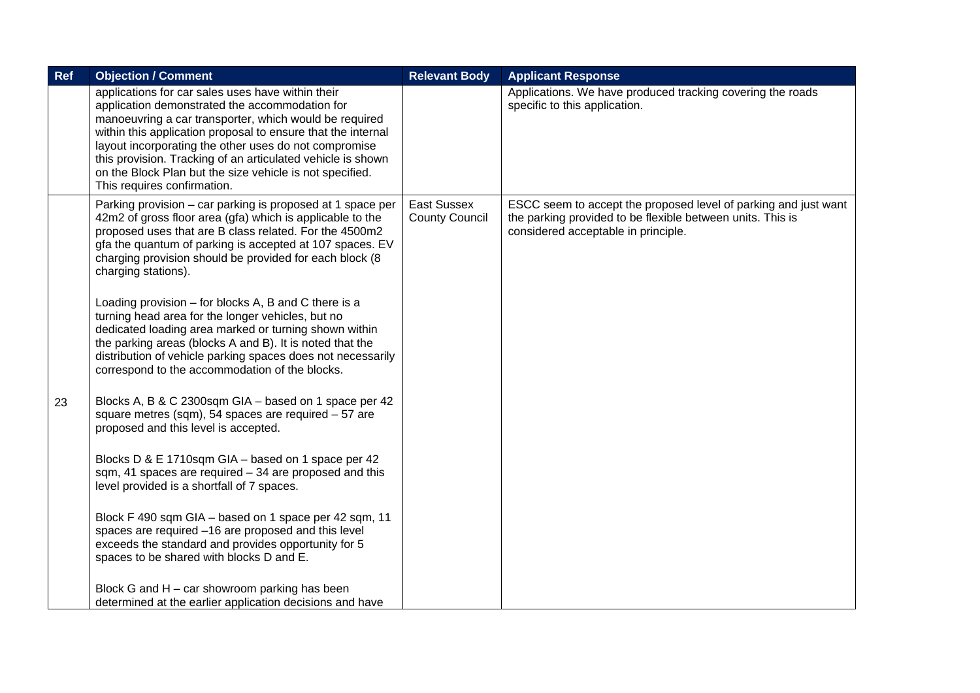| Ref | <b>Objection / Comment</b>                                                                                                                                                                                                                                                                                                                                                                                                                       | <b>Relevant Body</b>                 | <b>Applicant Response</b>                                                                                                                                            |
|-----|--------------------------------------------------------------------------------------------------------------------------------------------------------------------------------------------------------------------------------------------------------------------------------------------------------------------------------------------------------------------------------------------------------------------------------------------------|--------------------------------------|----------------------------------------------------------------------------------------------------------------------------------------------------------------------|
|     | applications for car sales uses have within their<br>application demonstrated the accommodation for<br>manoeuvring a car transporter, which would be required<br>within this application proposal to ensure that the internal<br>layout incorporating the other uses do not compromise<br>this provision. Tracking of an articulated vehicle is shown<br>on the Block Plan but the size vehicle is not specified.<br>This requires confirmation. |                                      | Applications. We have produced tracking covering the roads<br>specific to this application.                                                                          |
|     | Parking provision - car parking is proposed at 1 space per<br>42m2 of gross floor area (gfa) which is applicable to the<br>proposed uses that are B class related. For the 4500m2<br>gfa the quantum of parking is accepted at 107 spaces. EV<br>charging provision should be provided for each block (8)<br>charging stations).                                                                                                                 | East Sussex<br><b>County Council</b> | ESCC seem to accept the proposed level of parking and just want<br>the parking provided to be flexible between units. This is<br>considered acceptable in principle. |
|     | Loading provision $-$ for blocks A, B and C there is a<br>turning head area for the longer vehicles, but no<br>dedicated loading area marked or turning shown within<br>the parking areas (blocks A and B). It is noted that the<br>distribution of vehicle parking spaces does not necessarily<br>correspond to the accommodation of the blocks.                                                                                                |                                      |                                                                                                                                                                      |
| 23  | Blocks A, B & C 2300sqm GIA - based on 1 space per 42<br>square metres (sqm), 54 spaces are required - 57 are<br>proposed and this level is accepted.                                                                                                                                                                                                                                                                                            |                                      |                                                                                                                                                                      |
|     | Blocks D & E 1710sqm GIA - based on 1 space per 42<br>sqm, 41 spaces are required - 34 are proposed and this<br>level provided is a shortfall of 7 spaces.                                                                                                                                                                                                                                                                                       |                                      |                                                                                                                                                                      |
|     | Block F 490 sqm GIA - based on 1 space per 42 sqm, 11<br>spaces are required -16 are proposed and this level<br>exceeds the standard and provides opportunity for 5<br>spaces to be shared with blocks D and E.                                                                                                                                                                                                                                  |                                      |                                                                                                                                                                      |
|     | Block G and H - car showroom parking has been<br>determined at the earlier application decisions and have                                                                                                                                                                                                                                                                                                                                        |                                      |                                                                                                                                                                      |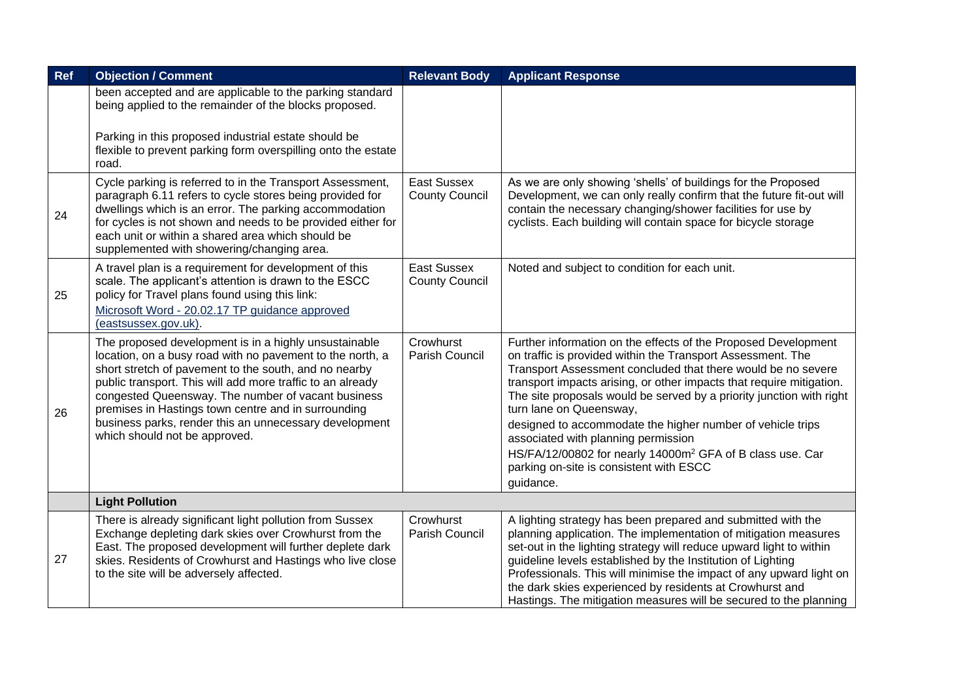| <b>Ref</b> | <b>Objection / Comment</b>                                                                                                                                                                                                                                                                                                                                                                                                                        | <b>Relevant Body</b>                        | <b>Applicant Response</b>                                                                                                                                                                                                                                                                                                                                                                                                                                                                                                                                                                                      |
|------------|---------------------------------------------------------------------------------------------------------------------------------------------------------------------------------------------------------------------------------------------------------------------------------------------------------------------------------------------------------------------------------------------------------------------------------------------------|---------------------------------------------|----------------------------------------------------------------------------------------------------------------------------------------------------------------------------------------------------------------------------------------------------------------------------------------------------------------------------------------------------------------------------------------------------------------------------------------------------------------------------------------------------------------------------------------------------------------------------------------------------------------|
|            | been accepted and are applicable to the parking standard<br>being applied to the remainder of the blocks proposed.                                                                                                                                                                                                                                                                                                                                |                                             |                                                                                                                                                                                                                                                                                                                                                                                                                                                                                                                                                                                                                |
|            | Parking in this proposed industrial estate should be<br>flexible to prevent parking form overspilling onto the estate<br>road.                                                                                                                                                                                                                                                                                                                    |                                             |                                                                                                                                                                                                                                                                                                                                                                                                                                                                                                                                                                                                                |
| 24         | Cycle parking is referred to in the Transport Assessment,<br>paragraph 6.11 refers to cycle stores being provided for<br>dwellings which is an error. The parking accommodation<br>for cycles is not shown and needs to be provided either for<br>each unit or within a shared area which should be<br>supplemented with showering/changing area.                                                                                                 | <b>East Sussex</b><br><b>County Council</b> | As we are only showing 'shells' of buildings for the Proposed<br>Development, we can only really confirm that the future fit-out will<br>contain the necessary changing/shower facilities for use by<br>cyclists. Each building will contain space for bicycle storage                                                                                                                                                                                                                                                                                                                                         |
| 25         | A travel plan is a requirement for development of this<br>scale. The applicant's attention is drawn to the ESCC<br>policy for Travel plans found using this link:<br>Microsoft Word - 20.02.17 TP guidance approved<br>(eastsussex.gov.uk).                                                                                                                                                                                                       | East Sussex<br><b>County Council</b>        | Noted and subject to condition for each unit.                                                                                                                                                                                                                                                                                                                                                                                                                                                                                                                                                                  |
| 26         | The proposed development is in a highly unsustainable<br>location, on a busy road with no pavement to the north, a<br>short stretch of pavement to the south, and no nearby<br>public transport. This will add more traffic to an already<br>congested Queensway. The number of vacant business<br>premises in Hastings town centre and in surrounding<br>business parks, render this an unnecessary development<br>which should not be approved. | Crowhurst<br>Parish Council                 | Further information on the effects of the Proposed Development<br>on traffic is provided within the Transport Assessment. The<br>Transport Assessment concluded that there would be no severe<br>transport impacts arising, or other impacts that require mitigation.<br>The site proposals would be served by a priority junction with right<br>turn lane on Queensway,<br>designed to accommodate the higher number of vehicle trips<br>associated with planning permission<br>HS/FA/12/00802 for nearly 14000m <sup>2</sup> GFA of B class use. Car<br>parking on-site is consistent with ESCC<br>guidance. |
|            | <b>Light Pollution</b>                                                                                                                                                                                                                                                                                                                                                                                                                            |                                             |                                                                                                                                                                                                                                                                                                                                                                                                                                                                                                                                                                                                                |
| 27         | There is already significant light pollution from Sussex<br>Exchange depleting dark skies over Crowhurst from the<br>East. The proposed development will further deplete dark<br>skies. Residents of Crowhurst and Hastings who live close<br>to the site will be adversely affected.                                                                                                                                                             | Crowhurst<br>Parish Council                 | A lighting strategy has been prepared and submitted with the<br>planning application. The implementation of mitigation measures<br>set-out in the lighting strategy will reduce upward light to within<br>guideline levels established by the Institution of Lighting<br>Professionals. This will minimise the impact of any upward light on<br>the dark skies experienced by residents at Crowhurst and<br>Hastings. The mitigation measures will be secured to the planning                                                                                                                                  |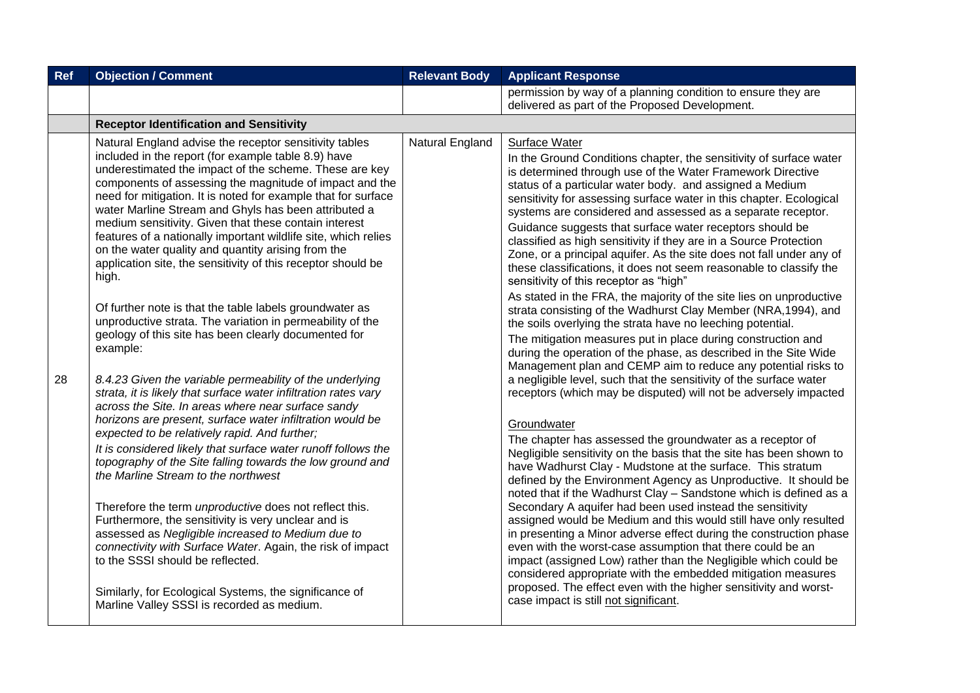| <b>Objection / Comment</b>                                                                                                                                                                                                                                                                                                                                                                                                                                                                                                                                                                                                                                                                                                                                                                                                                                                                                                                                                                                                                                                                                                                                                                                                                                                                                                                                                                                                                                                                                                                                                                                                  | <b>Relevant Body</b>                       | <b>Applicant Response</b>                                                                                                                                                                                                                                                                                                                                                                                                                                                                                                                                                                                                                                                                                                                                                                                                                                                                                                                                                                                                                                                                                                                                                                                                                                                                                                                                                                                                                                                                                                                                                                                                                                                                                                                                                                                                                                                                                                                                                                                                                                                                                        |
|-----------------------------------------------------------------------------------------------------------------------------------------------------------------------------------------------------------------------------------------------------------------------------------------------------------------------------------------------------------------------------------------------------------------------------------------------------------------------------------------------------------------------------------------------------------------------------------------------------------------------------------------------------------------------------------------------------------------------------------------------------------------------------------------------------------------------------------------------------------------------------------------------------------------------------------------------------------------------------------------------------------------------------------------------------------------------------------------------------------------------------------------------------------------------------------------------------------------------------------------------------------------------------------------------------------------------------------------------------------------------------------------------------------------------------------------------------------------------------------------------------------------------------------------------------------------------------------------------------------------------------|--------------------------------------------|------------------------------------------------------------------------------------------------------------------------------------------------------------------------------------------------------------------------------------------------------------------------------------------------------------------------------------------------------------------------------------------------------------------------------------------------------------------------------------------------------------------------------------------------------------------------------------------------------------------------------------------------------------------------------------------------------------------------------------------------------------------------------------------------------------------------------------------------------------------------------------------------------------------------------------------------------------------------------------------------------------------------------------------------------------------------------------------------------------------------------------------------------------------------------------------------------------------------------------------------------------------------------------------------------------------------------------------------------------------------------------------------------------------------------------------------------------------------------------------------------------------------------------------------------------------------------------------------------------------------------------------------------------------------------------------------------------------------------------------------------------------------------------------------------------------------------------------------------------------------------------------------------------------------------------------------------------------------------------------------------------------------------------------------------------------------------------------------------------------|
|                                                                                                                                                                                                                                                                                                                                                                                                                                                                                                                                                                                                                                                                                                                                                                                                                                                                                                                                                                                                                                                                                                                                                                                                                                                                                                                                                                                                                                                                                                                                                                                                                             |                                            | permission by way of a planning condition to ensure they are<br>delivered as part of the Proposed Development.                                                                                                                                                                                                                                                                                                                                                                                                                                                                                                                                                                                                                                                                                                                                                                                                                                                                                                                                                                                                                                                                                                                                                                                                                                                                                                                                                                                                                                                                                                                                                                                                                                                                                                                                                                                                                                                                                                                                                                                                   |
| <b>Receptor Identification and Sensitivity</b>                                                                                                                                                                                                                                                                                                                                                                                                                                                                                                                                                                                                                                                                                                                                                                                                                                                                                                                                                                                                                                                                                                                                                                                                                                                                                                                                                                                                                                                                                                                                                                              |                                            |                                                                                                                                                                                                                                                                                                                                                                                                                                                                                                                                                                                                                                                                                                                                                                                                                                                                                                                                                                                                                                                                                                                                                                                                                                                                                                                                                                                                                                                                                                                                                                                                                                                                                                                                                                                                                                                                                                                                                                                                                                                                                                                  |
| Natural England advise the receptor sensitivity tables<br>included in the report (for example table 8.9) have<br>underestimated the impact of the scheme. These are key<br>components of assessing the magnitude of impact and the<br>need for mitigation. It is noted for example that for surface<br>water Marline Stream and Ghyls has been attributed a<br>medium sensitivity. Given that these contain interest<br>features of a nationally important wildlife site, which relies<br>on the water quality and quantity arising from the<br>application site, the sensitivity of this receptor should be<br>high.<br>Of further note is that the table labels groundwater as<br>unproductive strata. The variation in permeability of the<br>geology of this site has been clearly documented for<br>example:<br>8.4.23 Given the variable permeability of the underlying<br>strata, it is likely that surface water infiltration rates vary<br>across the Site. In areas where near surface sandy<br>horizons are present, surface water infiltration would be<br>expected to be relatively rapid. And further;<br>It is considered likely that surface water runoff follows the<br>topography of the Site falling towards the low ground and<br>the Marline Stream to the northwest<br>Therefore the term unproductive does not reflect this.<br>Furthermore, the sensitivity is very unclear and is<br>assessed as Negligible increased to Medium due to<br>connectivity with Surface Water. Again, the risk of impact<br>to the SSSI should be reflected.<br>Similarly, for Ecological Systems, the significance of | Natural England                            | Surface Water<br>In the Ground Conditions chapter, the sensitivity of surface water<br>is determined through use of the Water Framework Directive<br>status of a particular water body. and assigned a Medium<br>sensitivity for assessing surface water in this chapter. Ecological<br>systems are considered and assessed as a separate receptor.<br>Guidance suggests that surface water receptors should be<br>classified as high sensitivity if they are in a Source Protection<br>Zone, or a principal aquifer. As the site does not fall under any of<br>these classifications, it does not seem reasonable to classify the<br>sensitivity of this receptor as "high"<br>As stated in the FRA, the majority of the site lies on unproductive<br>strata consisting of the Wadhurst Clay Member (NRA, 1994), and<br>the soils overlying the strata have no leeching potential.<br>The mitigation measures put in place during construction and<br>during the operation of the phase, as described in the Site Wide<br>Management plan and CEMP aim to reduce any potential risks to<br>a negligible level, such that the sensitivity of the surface water<br>receptors (which may be disputed) will not be adversely impacted<br>Groundwater<br>The chapter has assessed the groundwater as a receptor of<br>Negligible sensitivity on the basis that the site has been shown to<br>have Wadhurst Clay - Mudstone at the surface. This stratum<br>defined by the Environment Agency as Unproductive. It should be<br>noted that if the Wadhurst Clay - Sandstone which is defined as a<br>Secondary A aquifer had been used instead the sensitivity<br>assigned would be Medium and this would still have only resulted<br>in presenting a Minor adverse effect during the construction phase<br>even with the worst-case assumption that there could be an<br>impact (assigned Low) rather than the Negligible which could be<br>considered appropriate with the embedded mitigation measures<br>proposed. The effect even with the higher sensitivity and worst-<br>case impact is still not significant. |
|                                                                                                                                                                                                                                                                                                                                                                                                                                                                                                                                                                                                                                                                                                                                                                                                                                                                                                                                                                                                                                                                                                                                                                                                                                                                                                                                                                                                                                                                                                                                                                                                                             | Marline Valley SSSI is recorded as medium. |                                                                                                                                                                                                                                                                                                                                                                                                                                                                                                                                                                                                                                                                                                                                                                                                                                                                                                                                                                                                                                                                                                                                                                                                                                                                                                                                                                                                                                                                                                                                                                                                                                                                                                                                                                                                                                                                                                                                                                                                                                                                                                                  |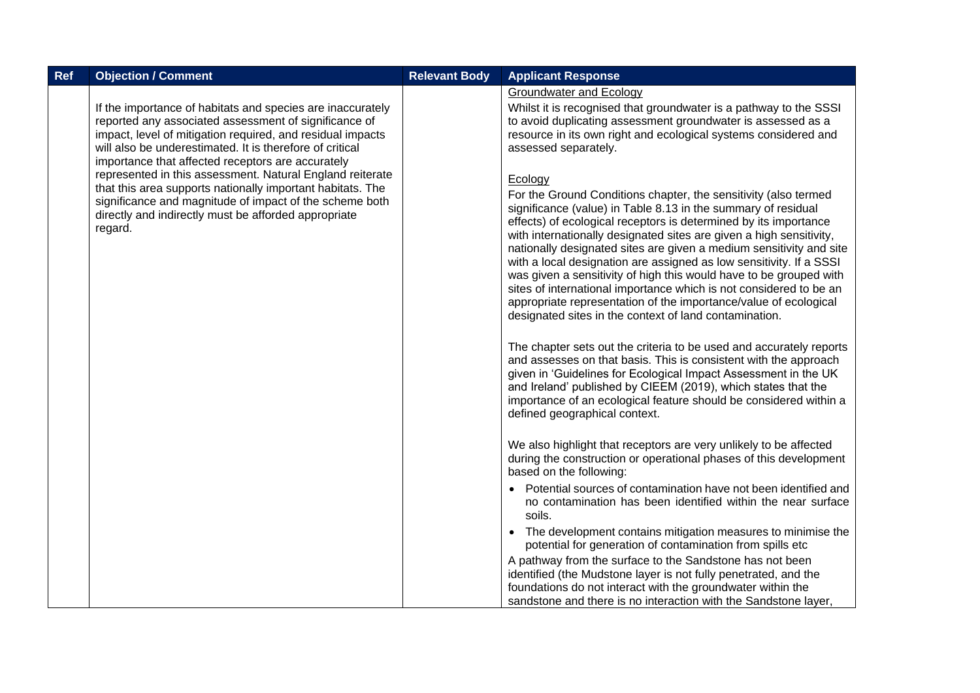| Ref | <b>Objection / Comment</b>                                                                                                                                                                                                                                                                         | <b>Relevant Body</b> | <b>Applicant Response</b>                                                                                                                                                                                                                                                                                                                                                                                                                                                                                                                                                                                                                                                                                      |
|-----|----------------------------------------------------------------------------------------------------------------------------------------------------------------------------------------------------------------------------------------------------------------------------------------------------|----------------------|----------------------------------------------------------------------------------------------------------------------------------------------------------------------------------------------------------------------------------------------------------------------------------------------------------------------------------------------------------------------------------------------------------------------------------------------------------------------------------------------------------------------------------------------------------------------------------------------------------------------------------------------------------------------------------------------------------------|
|     | If the importance of habitats and species are inaccurately<br>reported any associated assessment of significance of<br>impact, level of mitigation required, and residual impacts<br>will also be underestimated. It is therefore of critical<br>importance that affected receptors are accurately |                      | <b>Groundwater and Ecology</b><br>Whilst it is recognised that groundwater is a pathway to the SSSI<br>to avoid duplicating assessment groundwater is assessed as a<br>resource in its own right and ecological systems considered and<br>assessed separately.                                                                                                                                                                                                                                                                                                                                                                                                                                                 |
|     | represented in this assessment. Natural England reiterate<br>that this area supports nationally important habitats. The<br>significance and magnitude of impact of the scheme both<br>directly and indirectly must be afforded appropriate<br>regard.                                              |                      | Ecology<br>For the Ground Conditions chapter, the sensitivity (also termed<br>significance (value) in Table 8.13 in the summary of residual<br>effects) of ecological receptors is determined by its importance<br>with internationally designated sites are given a high sensitivity,<br>nationally designated sites are given a medium sensitivity and site<br>with a local designation are assigned as low sensitivity. If a SSSI<br>was given a sensitivity of high this would have to be grouped with<br>sites of international importance which is not considered to be an<br>appropriate representation of the importance/value of ecological<br>designated sites in the context of land contamination. |
|     |                                                                                                                                                                                                                                                                                                    |                      | The chapter sets out the criteria to be used and accurately reports<br>and assesses on that basis. This is consistent with the approach<br>given in 'Guidelines for Ecological Impact Assessment in the UK<br>and Ireland' published by CIEEM (2019), which states that the<br>importance of an ecological feature should be considered within a<br>defined geographical context.                                                                                                                                                                                                                                                                                                                              |
|     |                                                                                                                                                                                                                                                                                                    |                      | We also highlight that receptors are very unlikely to be affected<br>during the construction or operational phases of this development<br>based on the following:                                                                                                                                                                                                                                                                                                                                                                                                                                                                                                                                              |
|     |                                                                                                                                                                                                                                                                                                    |                      | Potential sources of contamination have not been identified and<br>no contamination has been identified within the near surface<br>soils.                                                                                                                                                                                                                                                                                                                                                                                                                                                                                                                                                                      |
|     |                                                                                                                                                                                                                                                                                                    |                      | The development contains mitigation measures to minimise the<br>$\bullet$<br>potential for generation of contamination from spills etc                                                                                                                                                                                                                                                                                                                                                                                                                                                                                                                                                                         |
|     |                                                                                                                                                                                                                                                                                                    |                      | A pathway from the surface to the Sandstone has not been<br>identified (the Mudstone layer is not fully penetrated, and the<br>foundations do not interact with the groundwater within the<br>sandstone and there is no interaction with the Sandstone layer,                                                                                                                                                                                                                                                                                                                                                                                                                                                  |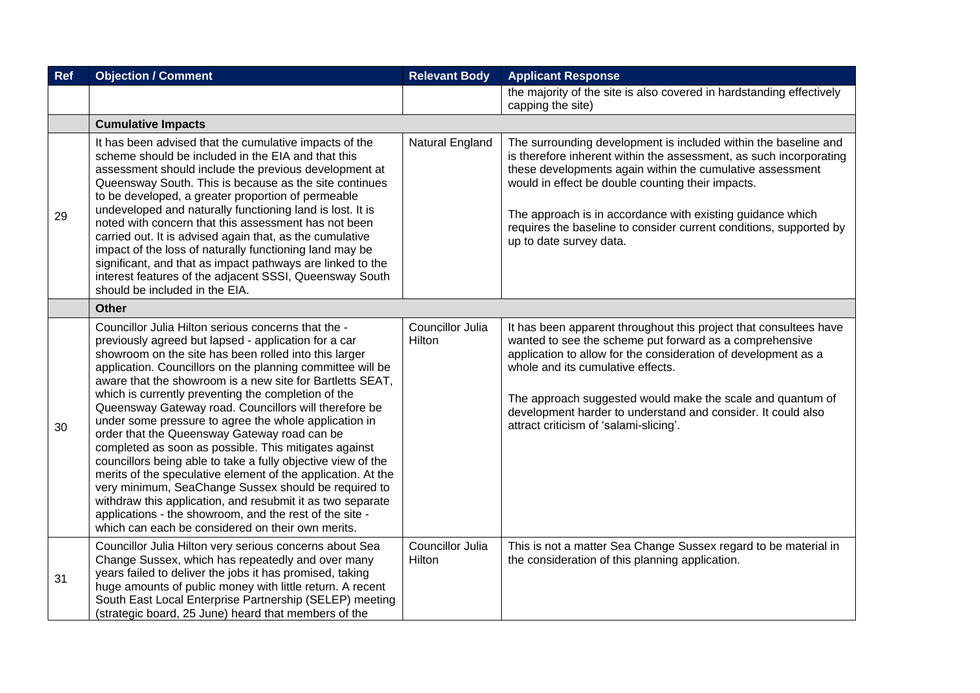| Ref | <b>Objection / Comment</b>                                                                                                                                                                                                                                                                                                                                                                                                                                                                                                                                                                                                                                                                                                                                                                                                                                                                                                                              | <b>Relevant Body</b>       | <b>Applicant Response</b>                                                                                                                                                                                                                                                                                                                                                                                              |
|-----|---------------------------------------------------------------------------------------------------------------------------------------------------------------------------------------------------------------------------------------------------------------------------------------------------------------------------------------------------------------------------------------------------------------------------------------------------------------------------------------------------------------------------------------------------------------------------------------------------------------------------------------------------------------------------------------------------------------------------------------------------------------------------------------------------------------------------------------------------------------------------------------------------------------------------------------------------------|----------------------------|------------------------------------------------------------------------------------------------------------------------------------------------------------------------------------------------------------------------------------------------------------------------------------------------------------------------------------------------------------------------------------------------------------------------|
|     |                                                                                                                                                                                                                                                                                                                                                                                                                                                                                                                                                                                                                                                                                                                                                                                                                                                                                                                                                         |                            | the majority of the site is also covered in hardstanding effectively<br>capping the site)                                                                                                                                                                                                                                                                                                                              |
|     | <b>Cumulative Impacts</b>                                                                                                                                                                                                                                                                                                                                                                                                                                                                                                                                                                                                                                                                                                                                                                                                                                                                                                                               |                            |                                                                                                                                                                                                                                                                                                                                                                                                                        |
| 29  | It has been advised that the cumulative impacts of the<br>scheme should be included in the EIA and that this<br>assessment should include the previous development at<br>Queensway South. This is because as the site continues<br>to be developed, a greater proportion of permeable<br>undeveloped and naturally functioning land is lost. It is<br>noted with concern that this assessment has not been<br>carried out. It is advised again that, as the cumulative<br>impact of the loss of naturally functioning land may be<br>significant, and that as impact pathways are linked to the<br>interest features of the adjacent SSSI, Queensway South<br>should be included in the EIA.                                                                                                                                                                                                                                                            | Natural England            | The surrounding development is included within the baseline and<br>is therefore inherent within the assessment, as such incorporating<br>these developments again within the cumulative assessment<br>would in effect be double counting their impacts.<br>The approach is in accordance with existing guidance which<br>requires the baseline to consider current conditions, supported by<br>up to date survey data. |
|     | <b>Other</b>                                                                                                                                                                                                                                                                                                                                                                                                                                                                                                                                                                                                                                                                                                                                                                                                                                                                                                                                            |                            |                                                                                                                                                                                                                                                                                                                                                                                                                        |
| 30  | Councillor Julia Hilton serious concerns that the -<br>previously agreed but lapsed - application for a car<br>showroom on the site has been rolled into this larger<br>application. Councillors on the planning committee will be<br>aware that the showroom is a new site for Bartletts SEAT,<br>which is currently preventing the completion of the<br>Queensway Gateway road. Councillors will therefore be<br>under some pressure to agree the whole application in<br>order that the Queensway Gateway road can be<br>completed as soon as possible. This mitigates against<br>councillors being able to take a fully objective view of the<br>merits of the speculative element of the application. At the<br>very minimum, SeaChange Sussex should be required to<br>withdraw this application, and resubmit it as two separate<br>applications - the showroom, and the rest of the site -<br>which can each be considered on their own merits. | Councillor Julia<br>Hilton | It has been apparent throughout this project that consultees have<br>wanted to see the scheme put forward as a comprehensive<br>application to allow for the consideration of development as a<br>whole and its cumulative effects.<br>The approach suggested would make the scale and quantum of<br>development harder to understand and consider. It could also<br>attract criticism of 'salami-slicing'.            |
| 31  | Councillor Julia Hilton very serious concerns about Sea<br>Change Sussex, which has repeatedly and over many<br>years failed to deliver the jobs it has promised, taking<br>huge amounts of public money with little return. A recent<br>South East Local Enterprise Partnership (SELEP) meeting<br>(strategic board, 25 June) heard that members of the                                                                                                                                                                                                                                                                                                                                                                                                                                                                                                                                                                                                | Councillor Julia<br>Hilton | This is not a matter Sea Change Sussex regard to be material in<br>the consideration of this planning application.                                                                                                                                                                                                                                                                                                     |